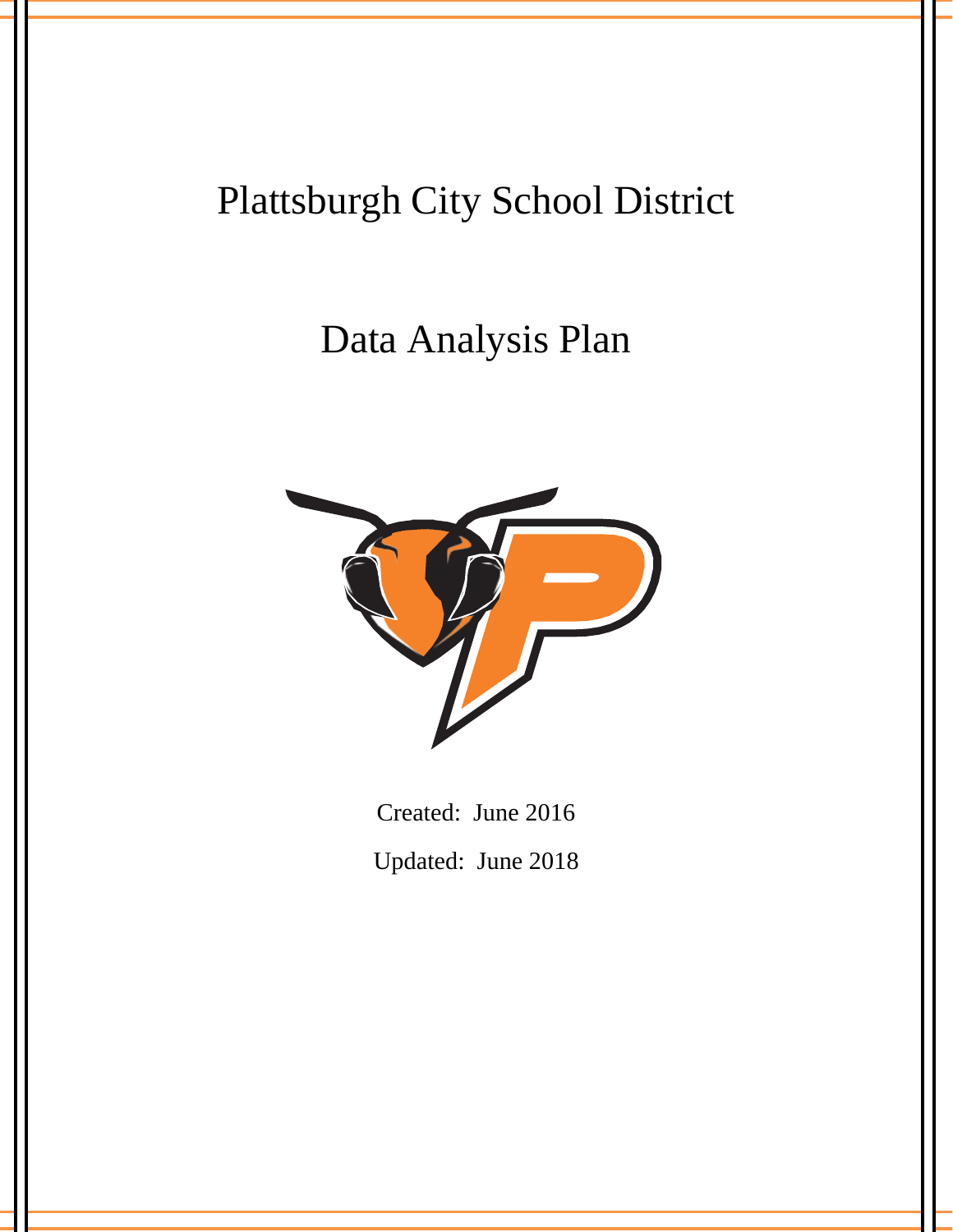# Plattsburgh City School District

# Data Analysis Plan



Created: June 2016 Updated: June 2018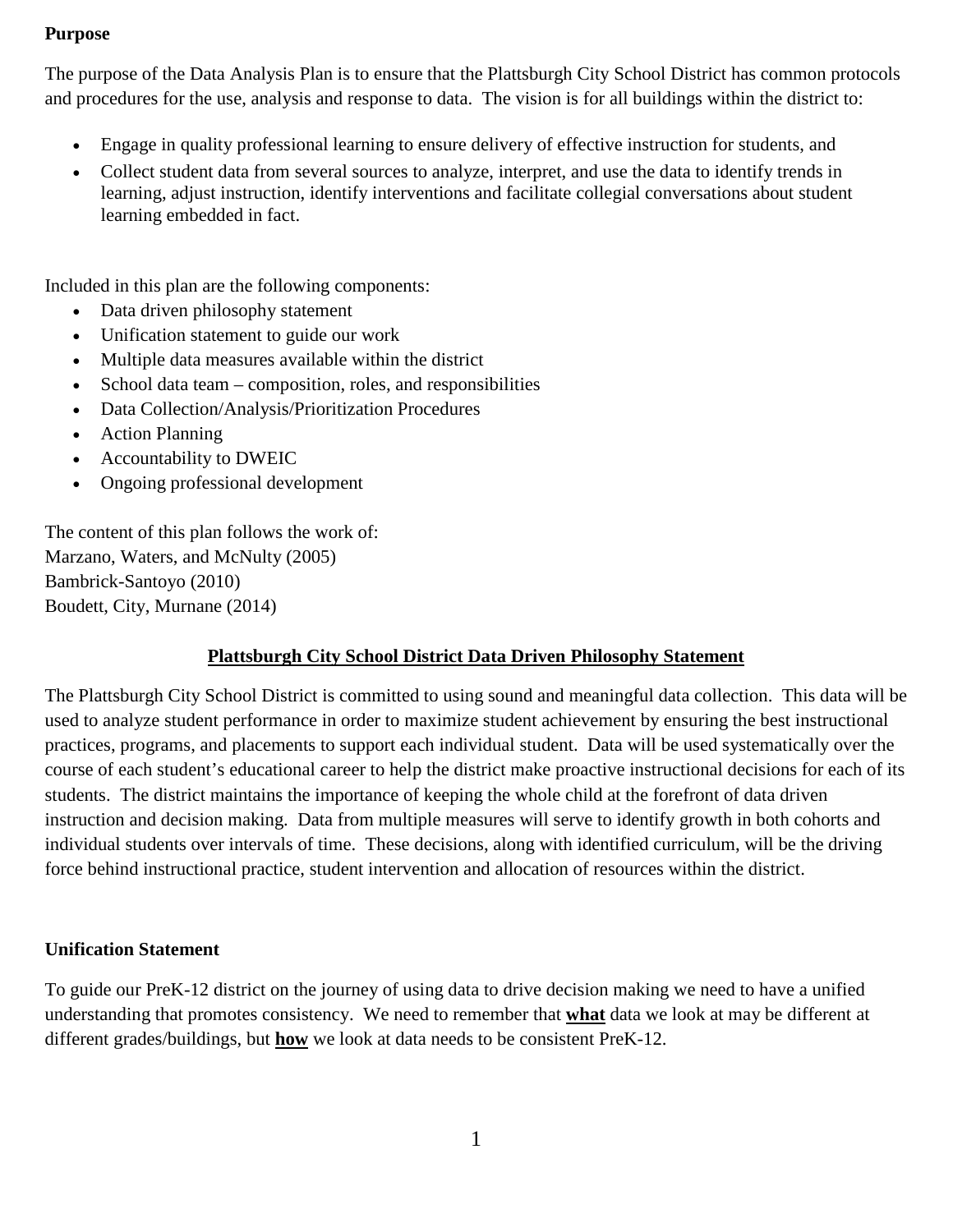#### **Purpose**

The purpose of the Data Analysis Plan is to ensure that the Plattsburgh City School District has common protocols and procedures for the use, analysis and response to data. The vision is for all buildings within the district to:

- Engage in quality professional learning to ensure delivery of effective instruction for students, and
- Collect student data from several sources to analyze, interpret, and use the data to identify trends in learning, adjust instruction, identify interventions and facilitate collegial conversations about student learning embedded in fact.

Included in this plan are the following components:

- Data driven philosophy statement
- Unification statement to guide our work
- Multiple data measures available within the district
- School data team composition, roles, and responsibilities
- Data Collection/Analysis/Prioritization Procedures
- Action Planning
- Accountability to DWEIC
- Ongoing professional development

The content of this plan follows the work of: Marzano, Waters, and McNulty (2005) Bambrick-Santoyo (2010) Boudett, City, Murnane (2014)

#### **Plattsburgh City School District Data Driven Philosophy Statement**

The Plattsburgh City School District is committed to using sound and meaningful data collection. This data will be used to analyze student performance in order to maximize student achievement by ensuring the best instructional practices, programs, and placements to support each individual student. Data will be used systematically over the course of each student's educational career to help the district make proactive instructional decisions for each of its students. The district maintains the importance of keeping the whole child at the forefront of data driven instruction and decision making. Data from multiple measures will serve to identify growth in both cohorts and individual students over intervals of time. These decisions, along with identified curriculum, will be the driving force behind instructional practice, student intervention and allocation of resources within the district.

#### **Unification Statement**

To guide our PreK-12 district on the journey of using data to drive decision making we need to have a unified understanding that promotes consistency. We need to remember that **what** data we look at may be different at different grades/buildings, but **how** we look at data needs to be consistent PreK-12.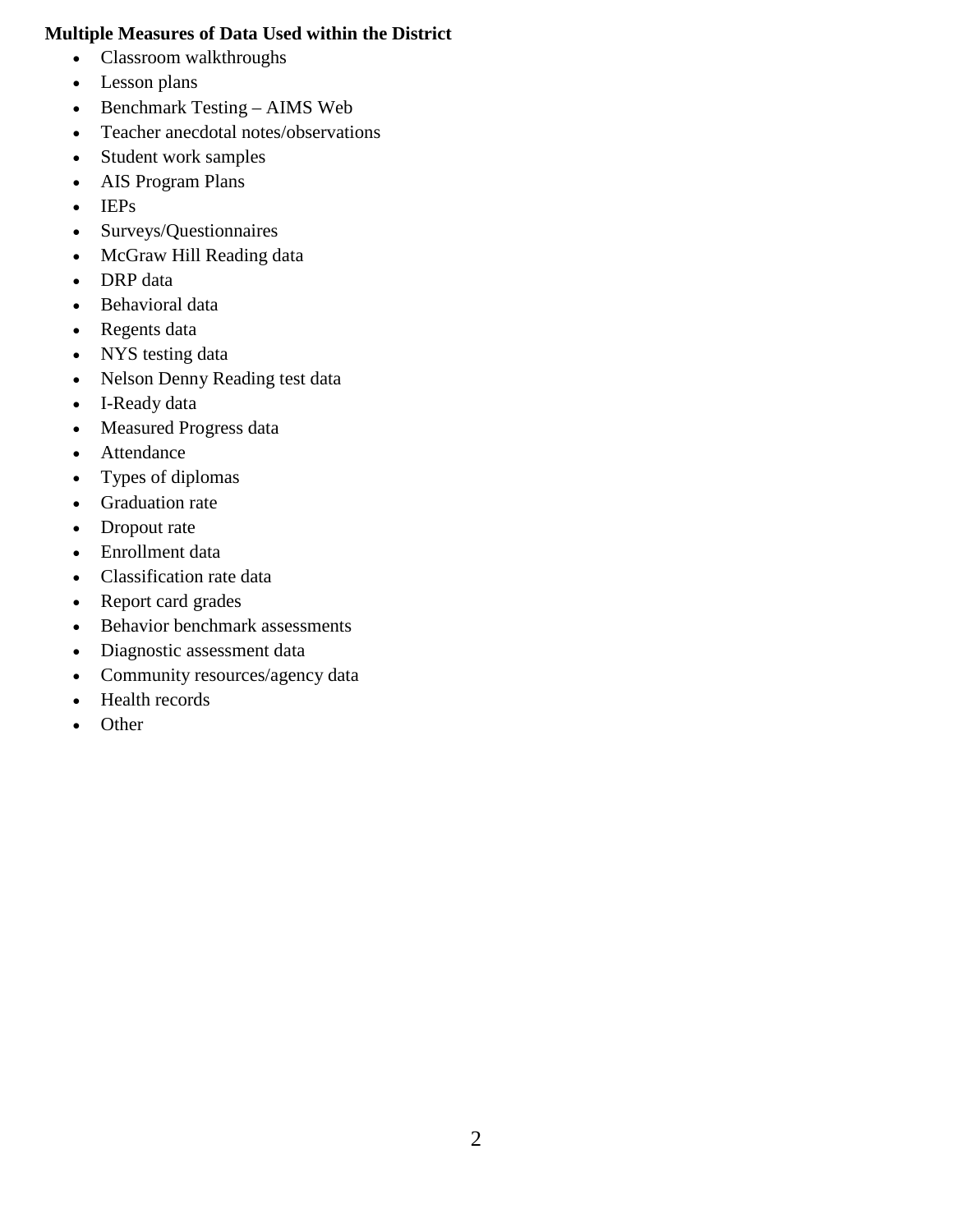#### **Multiple Measures of Data Used within the District**

- Classroom walkthroughs
- Lesson plans
- Benchmark Testing AIMS Web
- Teacher anecdotal notes/observations
- Student work samples
- AIS Program Plans
- IEPs
- Surveys/Questionnaires
- McGraw Hill Reading data
- DRP data
- Behavioral data
- Regents data
- NYS testing data
- Nelson Denny Reading test data
- I-Ready data
- Measured Progress data
- Attendance
- Types of diplomas
- Graduation rate
- Dropout rate
- Enrollment data
- Classification rate data
- Report card grades
- Behavior benchmark assessments
- Diagnostic assessment data
- Community resources/agency data
- Health records
- Other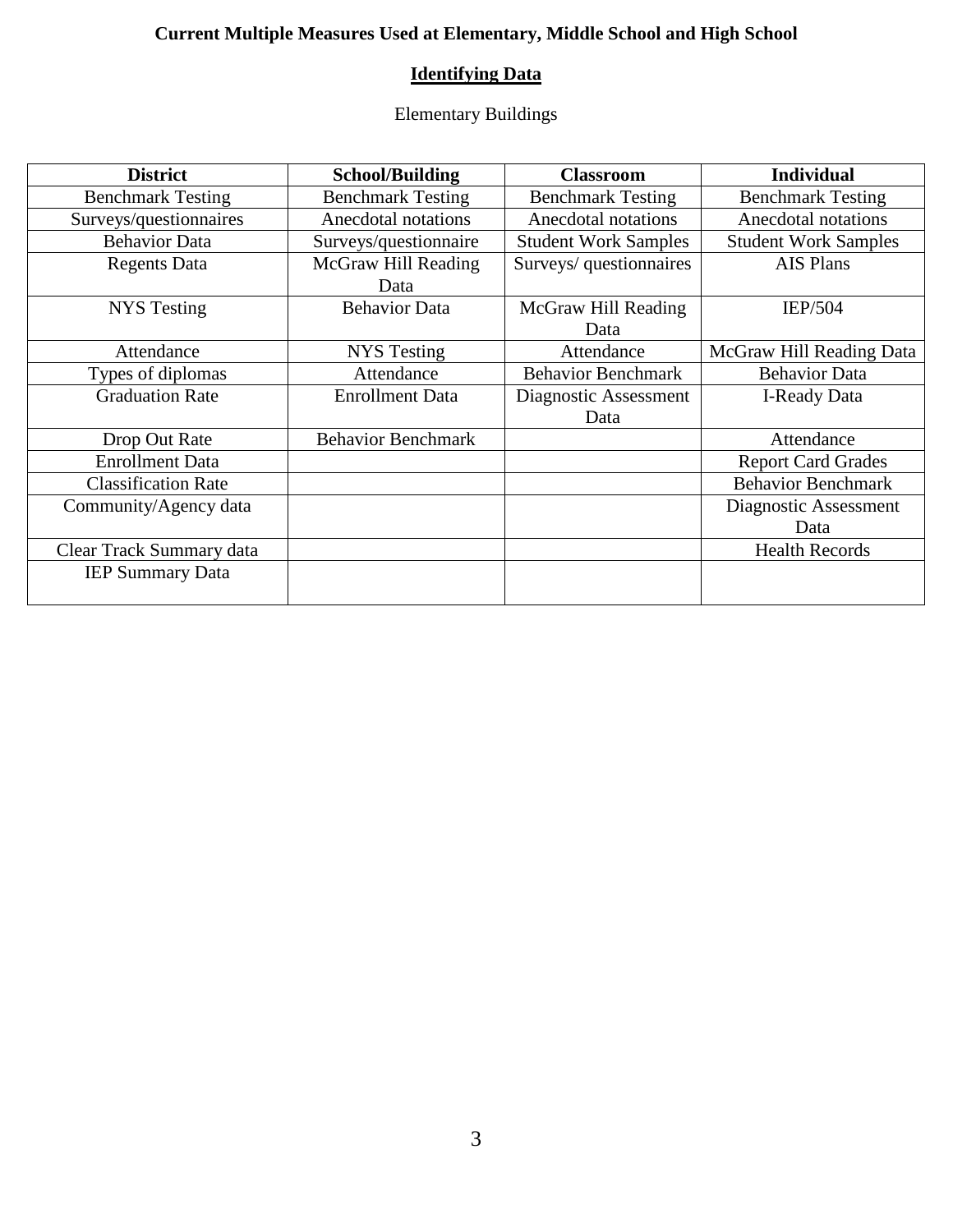### **Current Multiple Measures Used at Elementary, Middle School and High School**

### **Identifying Data**

Elementary Buildings

| <b>District</b>            | <b>School/Building</b>    | <b>Classroom</b>            | <b>Individual</b>           |
|----------------------------|---------------------------|-----------------------------|-----------------------------|
| <b>Benchmark Testing</b>   | <b>Benchmark Testing</b>  | <b>Benchmark Testing</b>    | <b>Benchmark Testing</b>    |
| Surveys/questionnaires     | Anecdotal notations       | Anecdotal notations         | Anecdotal notations         |
| <b>Behavior Data</b>       | Surveys/questionnaire     | <b>Student Work Samples</b> | <b>Student Work Samples</b> |
| <b>Regents Data</b>        | McGraw Hill Reading       | Surveys/ questionnaires     | <b>AIS Plans</b>            |
|                            | Data                      |                             |                             |
| NYS Testing                | <b>Behavior Data</b>      | McGraw Hill Reading         | <b>IEP/504</b>              |
|                            |                           | Data                        |                             |
| Attendance                 | <b>NYS</b> Testing        | Attendance                  | McGraw Hill Reading Data    |
| Types of diplomas          | Attendance                | <b>Behavior Benchmark</b>   | <b>Behavior Data</b>        |
| <b>Graduation Rate</b>     | <b>Enrollment Data</b>    | Diagnostic Assessment       | <b>I-Ready Data</b>         |
|                            |                           | Data                        |                             |
| Drop Out Rate              | <b>Behavior Benchmark</b> |                             | Attendance                  |
| <b>Enrollment Data</b>     |                           |                             | <b>Report Card Grades</b>   |
| <b>Classification Rate</b> |                           |                             | <b>Behavior Benchmark</b>   |
| Community/Agency data      |                           |                             | Diagnostic Assessment       |
|                            |                           |                             | Data                        |
| Clear Track Summary data   |                           |                             | <b>Health Records</b>       |
| <b>IEP Summary Data</b>    |                           |                             |                             |
|                            |                           |                             |                             |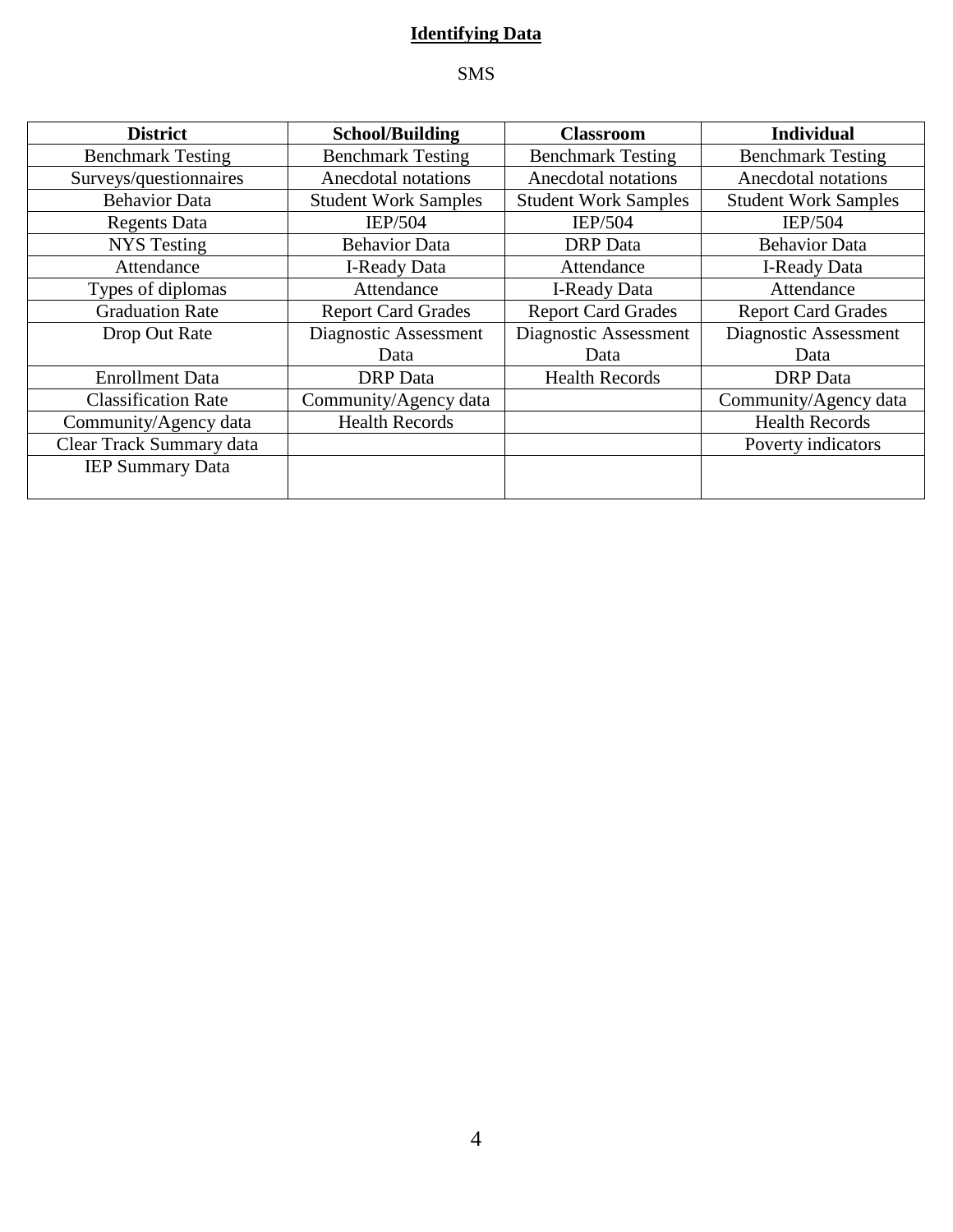### **Identifying Data**

### SMS

| <b>District</b>            | <b>School/Building</b>      | <b>Classroom</b>            | <b>Individual</b>           |
|----------------------------|-----------------------------|-----------------------------|-----------------------------|
| <b>Benchmark Testing</b>   | <b>Benchmark Testing</b>    | <b>Benchmark Testing</b>    | <b>Benchmark Testing</b>    |
| Surveys/questionnaires     | Anecdotal notations         | Anecdotal notations         | Anecdotal notations         |
| <b>Behavior Data</b>       | <b>Student Work Samples</b> | <b>Student Work Samples</b> | <b>Student Work Samples</b> |
| <b>Regents Data</b>        | <b>IEP/504</b>              | <b>IEP/504</b>              | <b>IEP/504</b>              |
| <b>NYS</b> Testing         | <b>Behavior Data</b>        | <b>DRP</b> Data             | <b>Behavior Data</b>        |
| Attendance                 | I-Ready Data                | Attendance                  | I-Ready Data                |
| Types of diplomas          | Attendance                  | <b>I-Ready Data</b>         | Attendance                  |
| <b>Graduation Rate</b>     | <b>Report Card Grades</b>   | <b>Report Card Grades</b>   | <b>Report Card Grades</b>   |
| Drop Out Rate              | Diagnostic Assessment       | Diagnostic Assessment       | Diagnostic Assessment       |
|                            | Data                        | Data                        | Data                        |
| <b>Enrollment Data</b>     | <b>DRP</b> Data             | <b>Health Records</b>       | <b>DRP</b> Data             |
| <b>Classification Rate</b> | Community/Agency data       |                             | Community/Agency data       |
| Community/Agency data      | <b>Health Records</b>       |                             | <b>Health Records</b>       |
| Clear Track Summary data   |                             |                             | Poverty indicators          |
| <b>IEP Summary Data</b>    |                             |                             |                             |
|                            |                             |                             |                             |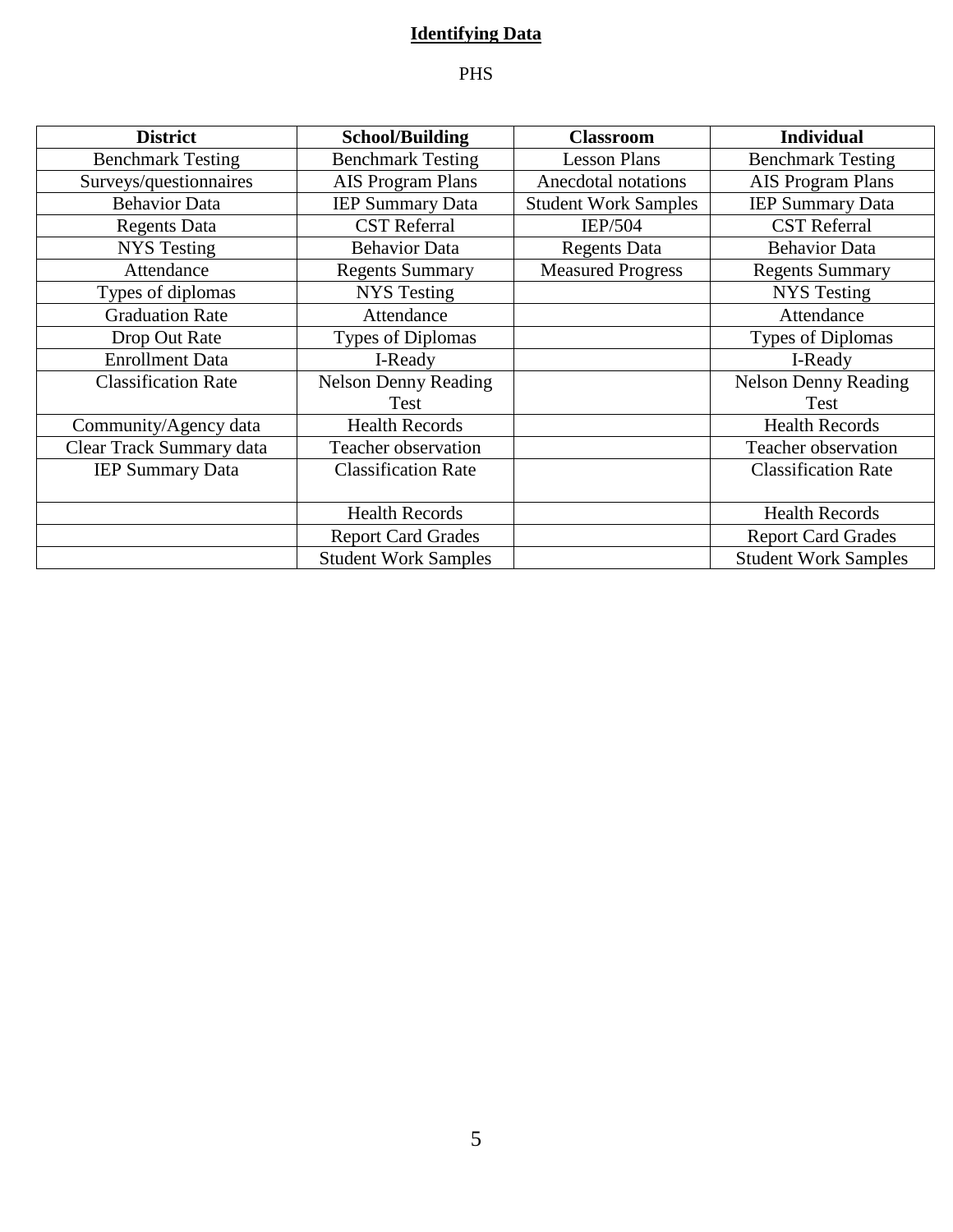### **Identifying Data**

### PHS

| <b>District</b>            | <b>School/Building</b>      | <b>Classroom</b>            | <b>Individual</b>           |
|----------------------------|-----------------------------|-----------------------------|-----------------------------|
| <b>Benchmark Testing</b>   | <b>Benchmark Testing</b>    | <b>Lesson Plans</b>         | <b>Benchmark Testing</b>    |
| Surveys/questionnaires     | AIS Program Plans           | Anecdotal notations         | AIS Program Plans           |
| <b>Behavior Data</b>       | <b>IEP Summary Data</b>     | <b>Student Work Samples</b> | <b>IEP Summary Data</b>     |
| <b>Regents Data</b>        | <b>CST</b> Referral         | <b>IEP/504</b>              | <b>CST</b> Referral         |
| <b>NYS Testing</b>         | <b>Behavior Data</b>        | <b>Regents Data</b>         | <b>Behavior Data</b>        |
| Attendance                 | <b>Regents Summary</b>      | <b>Measured Progress</b>    | <b>Regents Summary</b>      |
| Types of diplomas          | <b>NYS</b> Testing          |                             | <b>NYS</b> Testing          |
| <b>Graduation Rate</b>     | Attendance                  |                             | Attendance                  |
| Drop Out Rate              | <b>Types of Diplomas</b>    |                             | <b>Types of Diplomas</b>    |
| <b>Enrollment Data</b>     | I-Ready                     |                             | I-Ready                     |
| <b>Classification Rate</b> | <b>Nelson Denny Reading</b> |                             | <b>Nelson Denny Reading</b> |
|                            | Test                        |                             | Test                        |
| Community/Agency data      | <b>Health Records</b>       |                             | <b>Health Records</b>       |
| Clear Track Summary data   | Teacher observation         |                             | Teacher observation         |
| <b>IEP Summary Data</b>    | <b>Classification Rate</b>  |                             | <b>Classification Rate</b>  |
|                            |                             |                             |                             |
|                            | <b>Health Records</b>       |                             | <b>Health Records</b>       |
|                            | <b>Report Card Grades</b>   |                             | <b>Report Card Grades</b>   |
|                            | <b>Student Work Samples</b> |                             | <b>Student Work Samples</b> |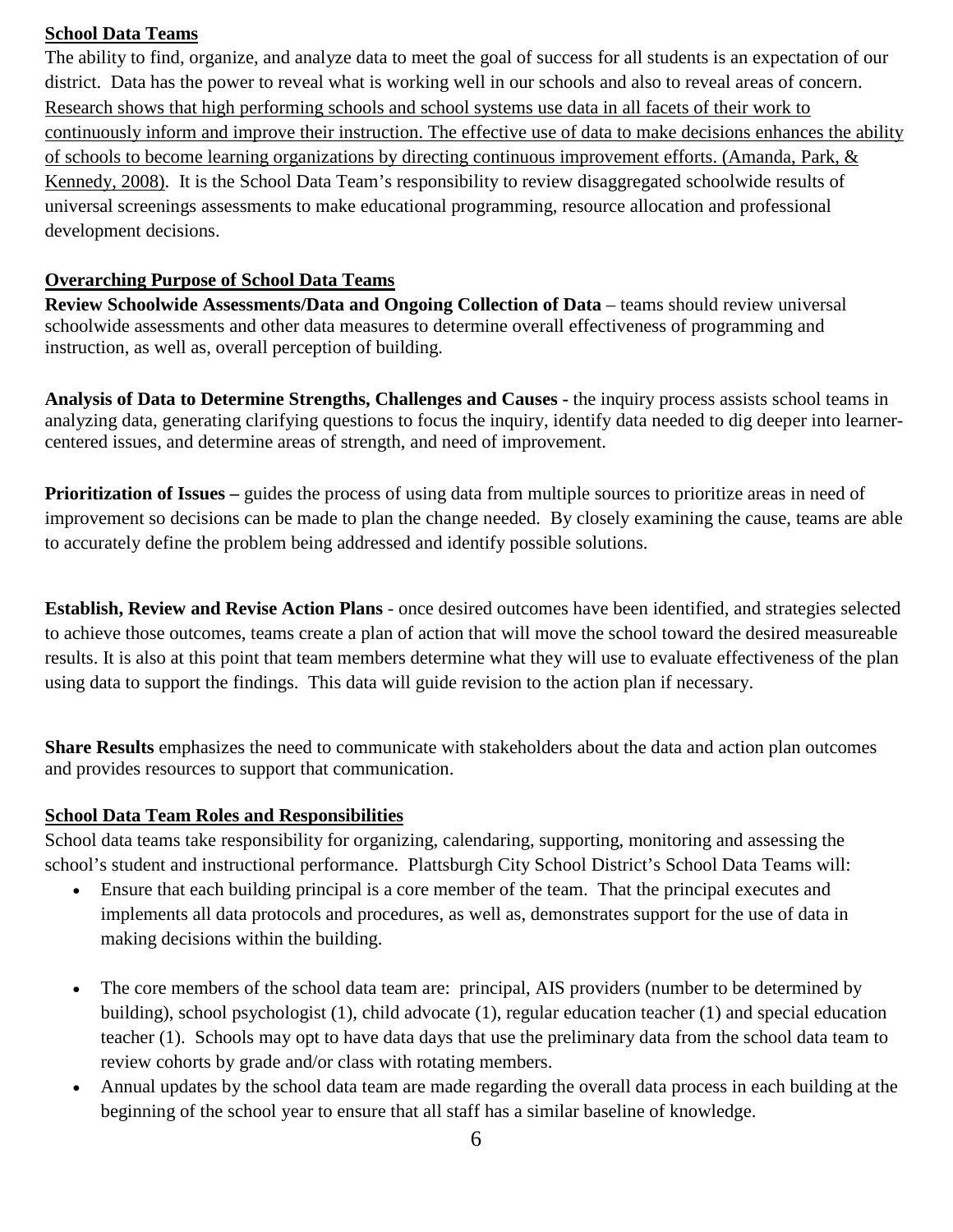#### **School Data Teams**

The ability to find, organize, and analyze data to meet the goal of success for all students is an expectation of our district. Data has the power to reveal what is working well in our schools and also to reveal areas of concern. Research shows that high performing schools and school systems use data in all facets of their work to continuously inform and improve their instruction. The effective use of data to make decisions enhances the ability of schools to become learning organizations by directing continuous improvement efforts. (Amanda, Park, & Kennedy, 2008). It is the School Data Team's responsibility to review disaggregated schoolwide results of universal screenings assessments to make educational programming, resource allocation and professional development decisions.

#### **Overarching Purpose of School Data Teams**

**Review Schoolwide Assessments/Data and Ongoing Collection of Data** – teams should review universal schoolwide assessments and other data measures to determine overall effectiveness of programming and instruction, as well as, overall perception of building.

**Analysis of Data to Determine Strengths, Challenges and Causes -** the inquiry process assists school teams in analyzing data, generating clarifying questions to focus the inquiry, identify data needed to dig deeper into learnercentered issues, and determine areas of strength, and need of improvement.

**Prioritization of Issues** – guides the process of using data from multiple sources to prioritize areas in need of improvement so decisions can be made to plan the change needed. By closely examining the cause, teams are able to accurately define the problem being addressed and identify possible solutions.

**Establish, Review and Revise Action Plans** - once desired outcomes have been identified, and strategies selected to achieve those outcomes, teams create a plan of action that will move the school toward the desired measureable results. It is also at this point that team members determine what they will use to evaluate effectiveness of the plan using data to support the findings. This data will guide revision to the action plan if necessary.

**Share Results** emphasizes the need to communicate with stakeholders about the data and action plan outcomes and provides resources to support that communication.

### **School Data Team Roles and Responsibilities**

School data teams take responsibility for organizing, calendaring, supporting, monitoring and assessing the school's student and instructional performance. Plattsburgh City School District's School Data Teams will:

- Ensure that each building principal is a core member of the team. That the principal executes and implements all data protocols and procedures, as well as, demonstrates support for the use of data in making decisions within the building.
- The core members of the school data team are: principal, AIS providers (number to be determined by building), school psychologist (1), child advocate (1), regular education teacher (1) and special education teacher (1). Schools may opt to have data days that use the preliminary data from the school data team to review cohorts by grade and/or class with rotating members.
- Annual updates by the school data team are made regarding the overall data process in each building at the beginning of the school year to ensure that all staff has a similar baseline of knowledge.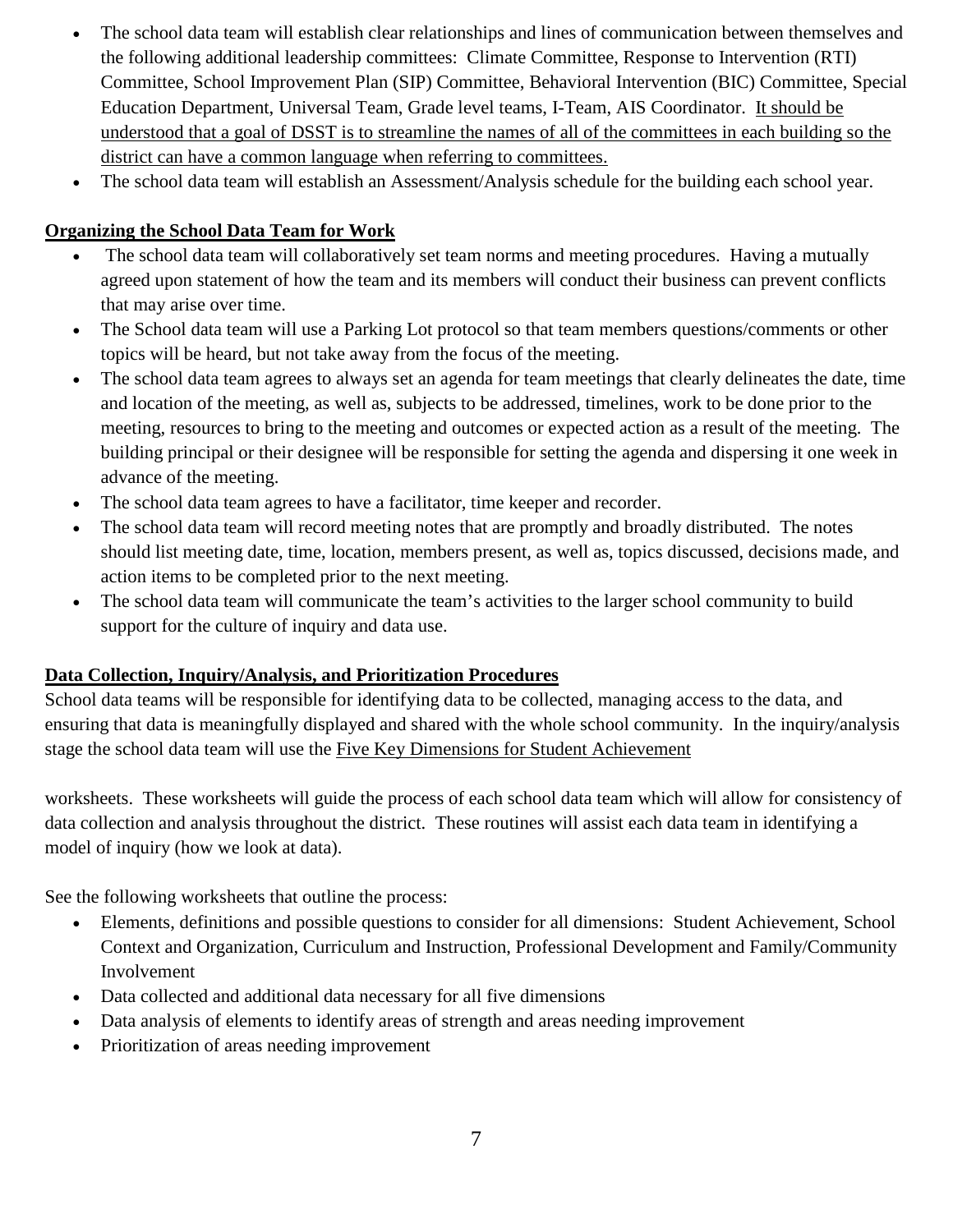- The school data team will establish clear relationships and lines of communication between themselves and the following additional leadership committees: Climate Committee, Response to Intervention (RTI) Committee, School Improvement Plan (SIP) Committee, Behavioral Intervention (BIC) Committee, Special Education Department, Universal Team, Grade level teams, I-Team, AIS Coordinator. It should be understood that a goal of DSST is to streamline the names of all of the committees in each building so the district can have a common language when referring to committees.
- The school data team will establish an Assessment/Analysis schedule for the building each school year.

### **Organizing the School Data Team for Work**

- The school data team will collaboratively set team norms and meeting procedures. Having a mutually agreed upon statement of how the team and its members will conduct their business can prevent conflicts that may arise over time.
- The School data team will use a Parking Lot protocol so that team members questions/comments or other topics will be heard, but not take away from the focus of the meeting.
- The school data team agrees to always set an agenda for team meetings that clearly delineates the date, time and location of the meeting, as well as, subjects to be addressed, timelines, work to be done prior to the meeting, resources to bring to the meeting and outcomes or expected action as a result of the meeting. The building principal or their designee will be responsible for setting the agenda and dispersing it one week in advance of the meeting.
- The school data team agrees to have a facilitator, time keeper and recorder.
- The school data team will record meeting notes that are promptly and broadly distributed. The notes should list meeting date, time, location, members present, as well as, topics discussed, decisions made, and action items to be completed prior to the next meeting.
- The school data team will communicate the team's activities to the larger school community to build support for the culture of inquiry and data use.

### **Data Collection, Inquiry/Analysis, and Prioritization Procedures**

School data teams will be responsible for identifying data to be collected, managing access to the data, and ensuring that data is meaningfully displayed and shared with the whole school community. In the inquiry/analysis stage the school data team will use the Five Key Dimensions for Student Achievement

worksheets. These worksheets will guide the process of each school data team which will allow for consistency of data collection and analysis throughout the district. These routines will assist each data team in identifying a model of inquiry (how we look at data).

See the following worksheets that outline the process:

- Elements, definitions and possible questions to consider for all dimensions: Student Achievement, School Context and Organization, Curriculum and Instruction, Professional Development and Family/Community Involvement
- Data collected and additional data necessary for all five dimensions
- Data analysis of elements to identify areas of strength and areas needing improvement
- Prioritization of areas needing improvement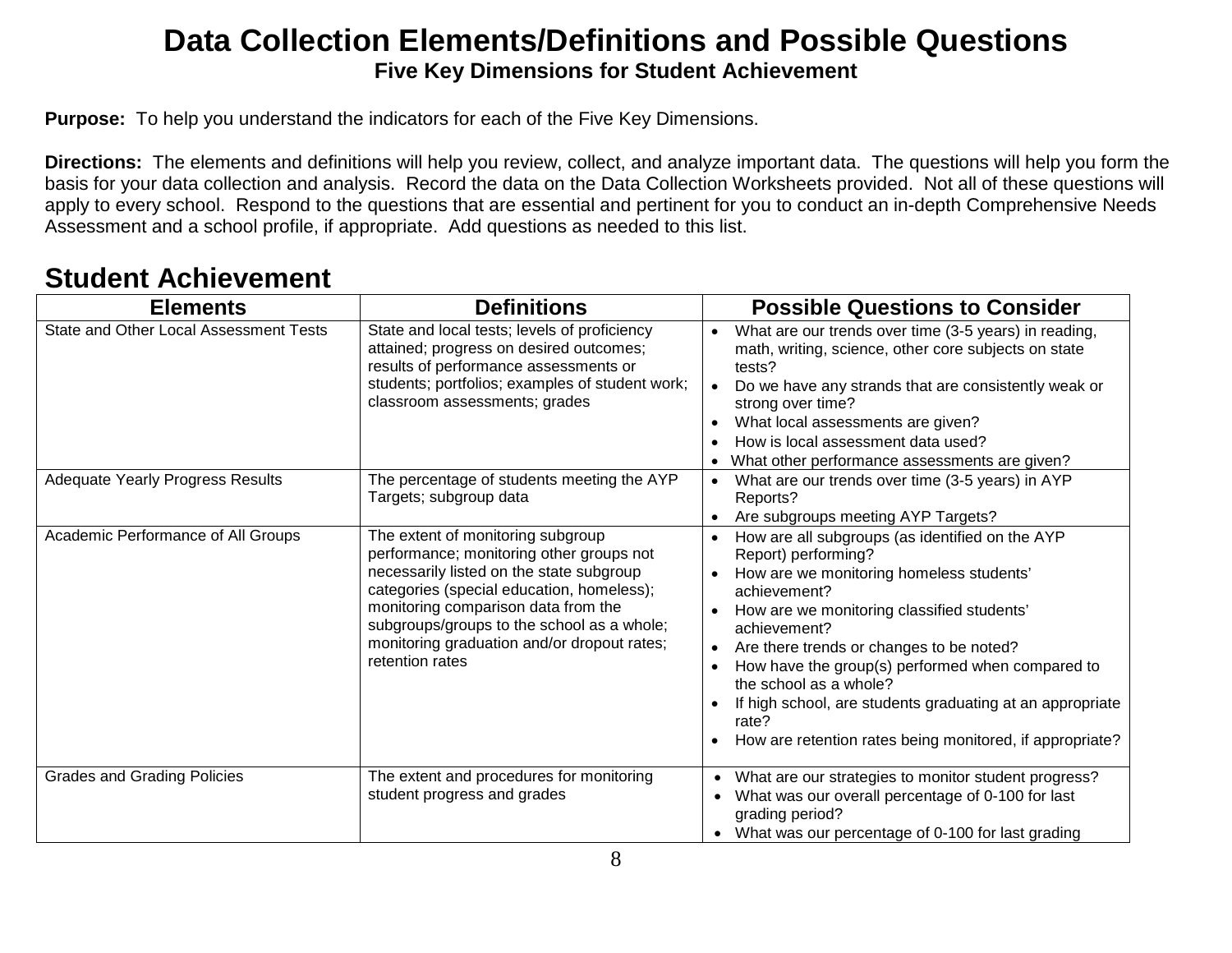### **Data Collection Elements/Definitions and Possible Questions Five Key Dimensions for Student Achievement**

**Purpose:** To help you understand the indicators for each of the Five Key Dimensions.

**Directions:** The elements and definitions will help you review, collect, and analyze important data. The questions will help you form the basis for your data collection and analysis. Record the data on the Data Collection Worksheets provided. Not all of these questions will apply to every school. Respond to the questions that are essential and pertinent for you to conduct an in-depth Comprehensive Needs Assessment and a school profile, if appropriate. Add questions as needed to this list.

## **Student Achievement**

| <b>Elements</b>                         | <b>Definitions</b>                                                                                                                                                                                                                                                                                                            | <b>Possible Questions to Consider</b>                                                                                                                                                                                                                                                                                                                                                                                                                                     |
|-----------------------------------------|-------------------------------------------------------------------------------------------------------------------------------------------------------------------------------------------------------------------------------------------------------------------------------------------------------------------------------|---------------------------------------------------------------------------------------------------------------------------------------------------------------------------------------------------------------------------------------------------------------------------------------------------------------------------------------------------------------------------------------------------------------------------------------------------------------------------|
| State and Other Local Assessment Tests  | State and local tests; levels of proficiency<br>attained; progress on desired outcomes;<br>results of performance assessments or<br>students; portfolios; examples of student work;<br>classroom assessments; grades                                                                                                          | What are our trends over time (3-5 years) in reading,<br>$\bullet$<br>math, writing, science, other core subjects on state<br>tests?<br>Do we have any strands that are consistently weak or<br>$\bullet$<br>strong over time?<br>What local assessments are given?<br>How is local assessment data used?<br>What other performance assessments are given?                                                                                                                |
| <b>Adequate Yearly Progress Results</b> | The percentage of students meeting the AYP<br>Targets; subgroup data                                                                                                                                                                                                                                                          | What are our trends over time (3-5 years) in AYP<br>Reports?<br>Are subgroups meeting AYP Targets?                                                                                                                                                                                                                                                                                                                                                                        |
| Academic Performance of All Groups      | The extent of monitoring subgroup<br>performance; monitoring other groups not<br>necessarily listed on the state subgroup<br>categories (special education, homeless);<br>monitoring comparison data from the<br>subgroups/groups to the school as a whole;<br>monitoring graduation and/or dropout rates;<br>retention rates | How are all subgroups (as identified on the AYP<br>Report) performing?<br>How are we monitoring homeless students'<br>achievement?<br>How are we monitoring classified students'<br>achievement?<br>Are there trends or changes to be noted?<br>$\bullet$<br>How have the group(s) performed when compared to<br>the school as a whole?<br>If high school, are students graduating at an appropriate<br>rate?<br>How are retention rates being monitored, if appropriate? |
| <b>Grades and Grading Policies</b>      | The extent and procedures for monitoring<br>student progress and grades                                                                                                                                                                                                                                                       | What are our strategies to monitor student progress?<br>$\bullet$<br>What was our overall percentage of 0-100 for last<br>$\bullet$<br>grading period?<br>What was our percentage of 0-100 for last grading<br>$\bullet$                                                                                                                                                                                                                                                  |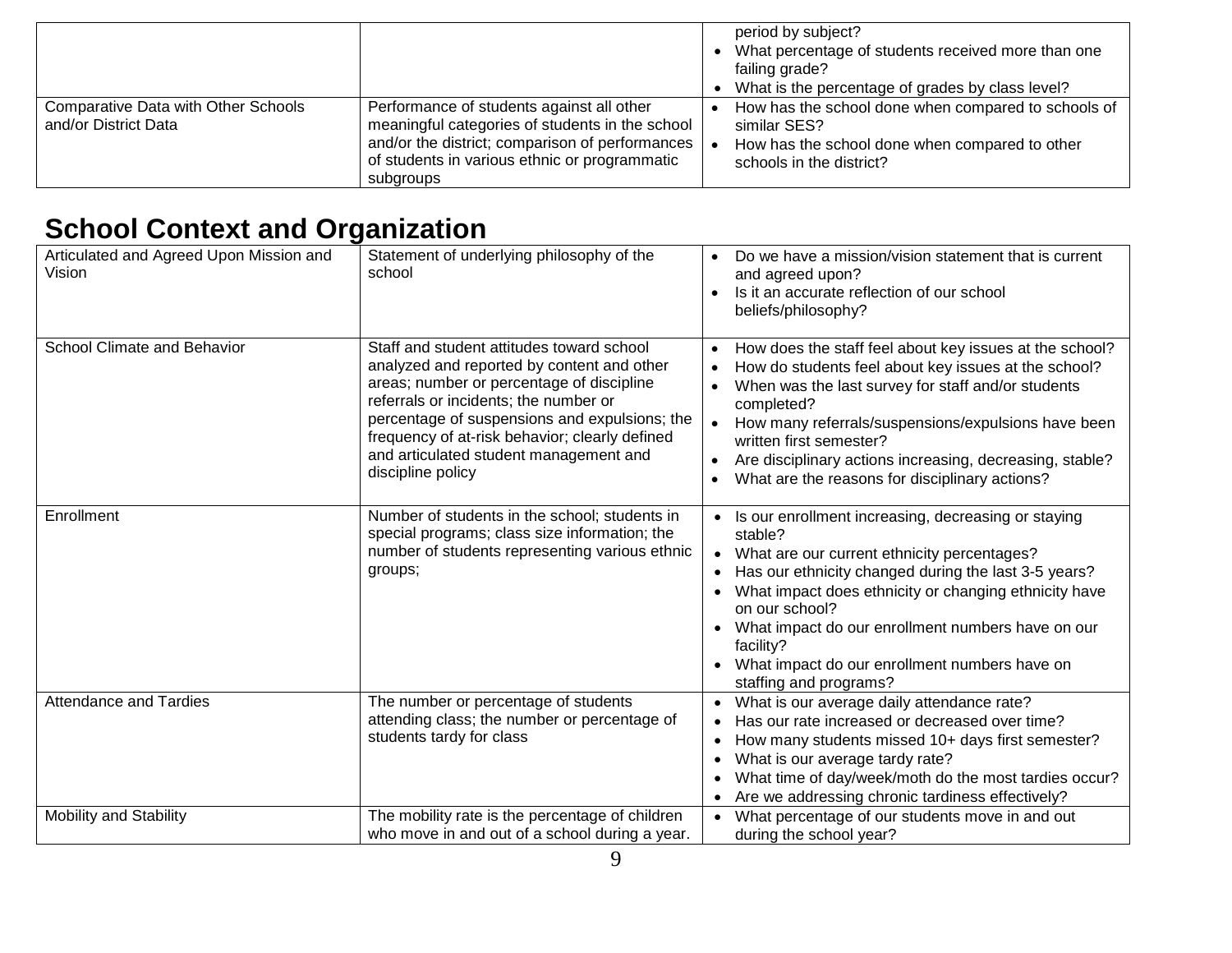|                                                                    |                                                                                                                                                                                                               | period by subject?<br>What percentage of students received more than one<br>failing grade?<br>What is the percentage of grades by class level?    |
|--------------------------------------------------------------------|---------------------------------------------------------------------------------------------------------------------------------------------------------------------------------------------------------------|---------------------------------------------------------------------------------------------------------------------------------------------------|
| <b>Comparative Data with Other Schools</b><br>and/or District Data | Performance of students against all other<br>meaningful categories of students in the school<br>and/or the district; comparison of performances<br>of students in various ethnic or programmatic<br>subgroups | How has the school done when compared to schools of<br>similar SES?<br>How has the school done when compared to other<br>schools in the district? |

## **School Context and Organization**

| Articulated and Agreed Upon Mission and<br>Vision | Statement of underlying philosophy of the<br>school                                                                                                                                                                                                                                                                                             | Do we have a mission/vision statement that is current<br>and agreed upon?<br>Is it an accurate reflection of our school<br>$\bullet$<br>beliefs/philosophy?                                                                                                                                                                                                                                                                                       |
|---------------------------------------------------|-------------------------------------------------------------------------------------------------------------------------------------------------------------------------------------------------------------------------------------------------------------------------------------------------------------------------------------------------|---------------------------------------------------------------------------------------------------------------------------------------------------------------------------------------------------------------------------------------------------------------------------------------------------------------------------------------------------------------------------------------------------------------------------------------------------|
| School Climate and Behavior                       | Staff and student attitudes toward school<br>analyzed and reported by content and other<br>areas; number or percentage of discipline<br>referrals or incidents; the number or<br>percentage of suspensions and expulsions; the<br>frequency of at-risk behavior; clearly defined<br>and articulated student management and<br>discipline policy | How does the staff feel about key issues at the school?<br>$\bullet$<br>How do students feel about key issues at the school?<br>When was the last survey for staff and/or students<br>completed?<br>How many referrals/suspensions/expulsions have been<br>written first semester?<br>Are disciplinary actions increasing, decreasing, stable?<br>$\bullet$<br>What are the reasons for disciplinary actions?                                     |
| Enrollment                                        | Number of students in the school; students in<br>special programs; class size information; the<br>number of students representing various ethnic<br>groups;                                                                                                                                                                                     | Is our enrollment increasing, decreasing or staying<br>$\bullet$<br>stable?<br>What are our current ethnicity percentages?<br>$\bullet$<br>Has our ethnicity changed during the last 3-5 years?<br>$\bullet$<br>What impact does ethnicity or changing ethnicity have<br>$\bullet$<br>on our school?<br>What impact do our enrollment numbers have on our<br>facility?<br>What impact do our enrollment numbers have on<br>staffing and programs? |
| <b>Attendance and Tardies</b>                     | The number or percentage of students<br>attending class; the number or percentage of<br>students tardy for class                                                                                                                                                                                                                                | What is our average daily attendance rate?<br>$\bullet$<br>Has our rate increased or decreased over time?<br>$\bullet$<br>How many students missed 10+ days first semester?<br>$\bullet$<br>What is our average tardy rate?<br>$\bullet$<br>What time of day/week/moth do the most tardies occur?<br>$\bullet$<br>Are we addressing chronic tardiness effectively?<br>$\bullet$                                                                   |
| Mobility and Stability                            | The mobility rate is the percentage of children<br>who move in and out of a school during a year.                                                                                                                                                                                                                                               | What percentage of our students move in and out<br>during the school year?                                                                                                                                                                                                                                                                                                                                                                        |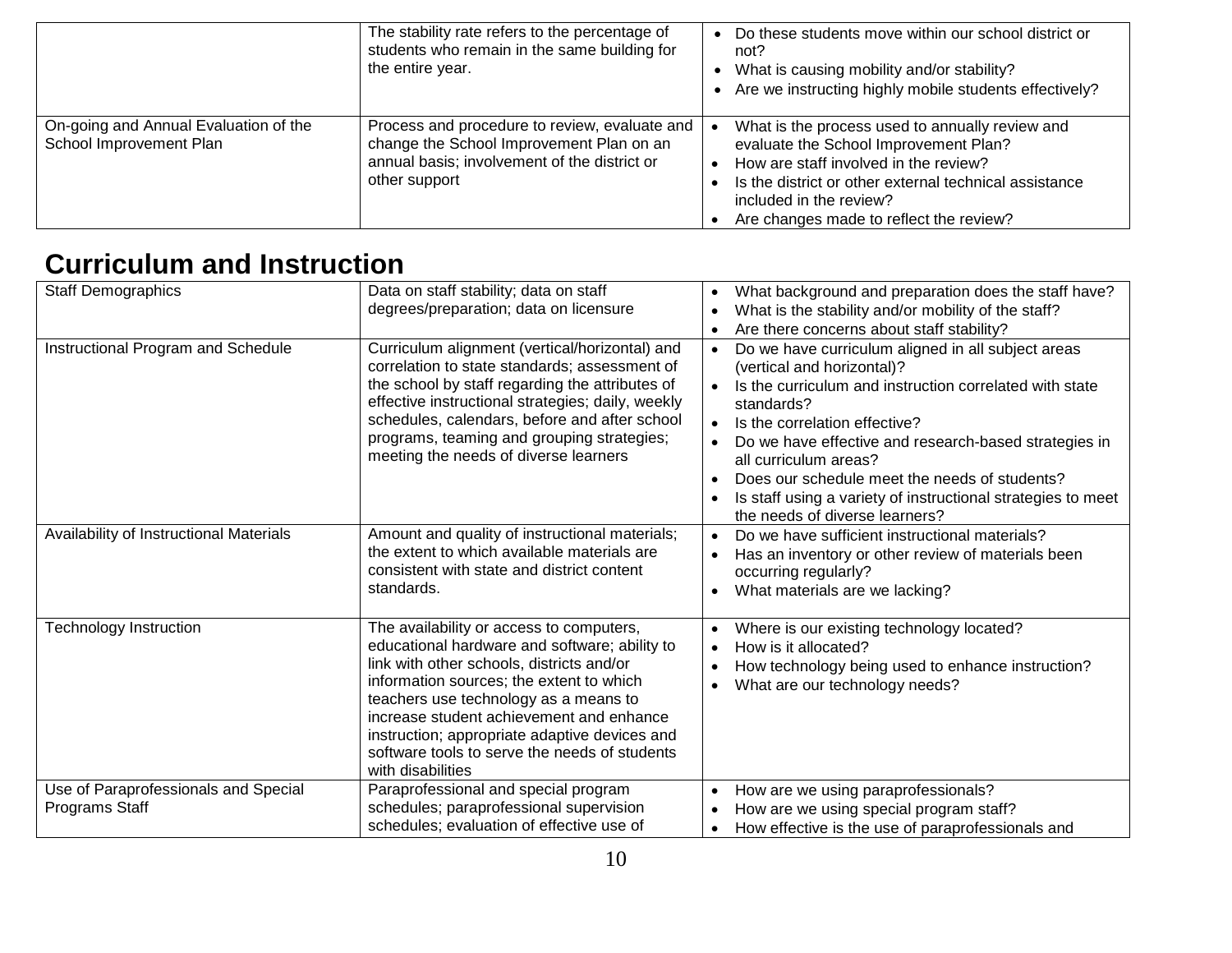|                                                                  | The stability rate refers to the percentage of<br>students who remain in the same building for<br>the entire year.                                         | Do these students move within our school district or<br>not?<br>What is causing mobility and/or stability?<br>Are we instructing highly mobile students effectively?                                                                                              |
|------------------------------------------------------------------|------------------------------------------------------------------------------------------------------------------------------------------------------------|-------------------------------------------------------------------------------------------------------------------------------------------------------------------------------------------------------------------------------------------------------------------|
| On-going and Annual Evaluation of the<br>School Improvement Plan | Process and procedure to review, evaluate and<br>change the School Improvement Plan on an<br>annual basis; involvement of the district or<br>other support | What is the process used to annually review and<br>evaluate the School Improvement Plan?<br>How are staff involved in the review?<br>Is the district or other external technical assistance<br>included in the review?<br>Are changes made to reflect the review? |

## **Curriculum and Instruction**

| <b>Staff Demographics</b>                              | Data on staff stability; data on staff                                                                                                                                                                                                                                                                                                                                                         | What background and preparation does the staff have?<br>$\bullet$                                                                                                                                                                                                                                                                                                    |
|--------------------------------------------------------|------------------------------------------------------------------------------------------------------------------------------------------------------------------------------------------------------------------------------------------------------------------------------------------------------------------------------------------------------------------------------------------------|----------------------------------------------------------------------------------------------------------------------------------------------------------------------------------------------------------------------------------------------------------------------------------------------------------------------------------------------------------------------|
|                                                        | degrees/preparation; data on licensure                                                                                                                                                                                                                                                                                                                                                         | What is the stability and/or mobility of the staff?<br>$\bullet$                                                                                                                                                                                                                                                                                                     |
|                                                        |                                                                                                                                                                                                                                                                                                                                                                                                | Are there concerns about staff stability?<br>$\bullet$                                                                                                                                                                                                                                                                                                               |
| Instructional Program and Schedule                     | Curriculum alignment (vertical/horizontal) and<br>correlation to state standards; assessment of<br>the school by staff regarding the attributes of<br>effective instructional strategies; daily, weekly<br>schedules, calendars, before and after school<br>programs, teaming and grouping strategies;<br>meeting the needs of diverse learners                                                | Do we have curriculum aligned in all subject areas<br>$\bullet$<br>(vertical and horizontal)?<br>Is the curriculum and instruction correlated with state<br>$\bullet$<br>standards?<br>Is the correlation effective?<br>$\bullet$<br>Do we have effective and research-based strategies in<br>all curriculum areas?<br>Does our schedule meet the needs of students? |
|                                                        |                                                                                                                                                                                                                                                                                                                                                                                                | Is staff using a variety of instructional strategies to meet<br>the needs of diverse learners?                                                                                                                                                                                                                                                                       |
| Availability of Instructional Materials                | Amount and quality of instructional materials;<br>the extent to which available materials are<br>consistent with state and district content<br>standards.                                                                                                                                                                                                                                      | Do we have sufficient instructional materials?<br>$\bullet$<br>Has an inventory or other review of materials been<br>occurring regularly?<br>What materials are we lacking?                                                                                                                                                                                          |
| <b>Technology Instruction</b>                          | The availability or access to computers,<br>educational hardware and software; ability to<br>link with other schools, districts and/or<br>information sources; the extent to which<br>teachers use technology as a means to<br>increase student achievement and enhance<br>instruction; appropriate adaptive devices and<br>software tools to serve the needs of students<br>with disabilities | Where is our existing technology located?<br>$\bullet$<br>How is it allocated?<br>$\bullet$<br>How technology being used to enhance instruction?<br>٠<br>What are our technology needs?<br>$\bullet$                                                                                                                                                                 |
| Use of Paraprofessionals and Special<br>Programs Staff | Paraprofessional and special program<br>schedules; paraprofessional supervision<br>schedules; evaluation of effective use of                                                                                                                                                                                                                                                                   | How are we using paraprofessionals?<br>$\bullet$<br>How are we using special program staff?<br>$\bullet$<br>How effective is the use of paraprofessionals and<br>$\bullet$                                                                                                                                                                                           |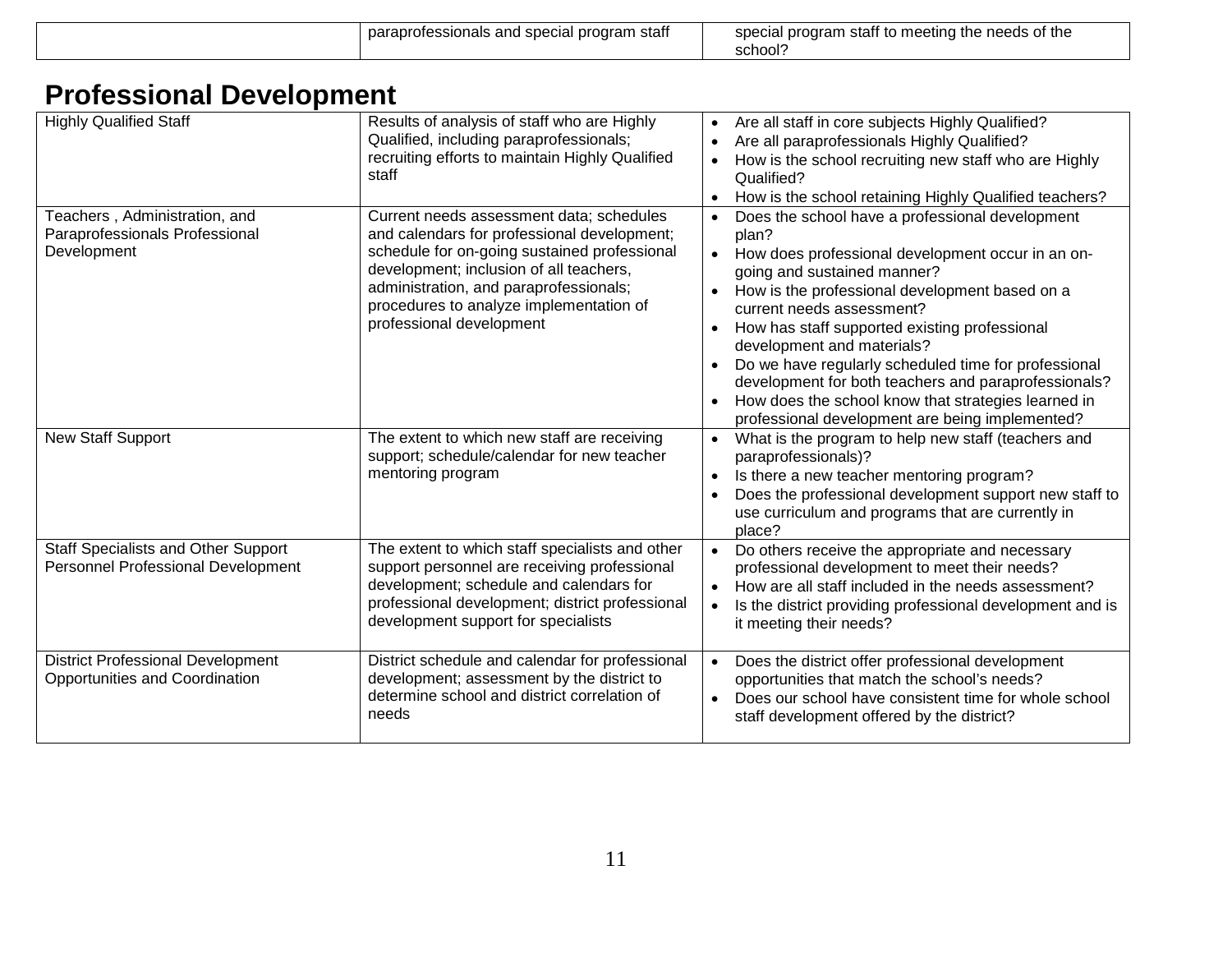|  | paraprofessionals and special program<br>stat | i staff to meeting the needs of the i<br>specia<br>program<br>school |
|--|-----------------------------------------------|----------------------------------------------------------------------|
|--|-----------------------------------------------|----------------------------------------------------------------------|

## **Professional Development**

| <b>Highly Qualified Staff</b>                                                     | Results of analysis of staff who are Highly<br>Qualified, including paraprofessionals;<br>recruiting efforts to maintain Highly Qualified<br>staff                                                                                                                                                  | Are all staff in core subjects Highly Qualified?<br>$\bullet$<br>Are all paraprofessionals Highly Qualified?<br>$\bullet$<br>How is the school recruiting new staff who are Highly<br>$\bullet$<br>Qualified?<br>How is the school retaining Highly Qualified teachers?                                                                                                                                                                                                                                                                                                     |
|-----------------------------------------------------------------------------------|-----------------------------------------------------------------------------------------------------------------------------------------------------------------------------------------------------------------------------------------------------------------------------------------------------|-----------------------------------------------------------------------------------------------------------------------------------------------------------------------------------------------------------------------------------------------------------------------------------------------------------------------------------------------------------------------------------------------------------------------------------------------------------------------------------------------------------------------------------------------------------------------------|
| Teachers, Administration, and<br>Paraprofessionals Professional<br>Development    | Current needs assessment data; schedules<br>and calendars for professional development;<br>schedule for on-going sustained professional<br>development; inclusion of all teachers,<br>administration, and paraprofessionals;<br>procedures to analyze implementation of<br>professional development | Does the school have a professional development<br>$\bullet$<br>plan?<br>How does professional development occur in an on-<br>$\bullet$<br>going and sustained manner?<br>How is the professional development based on a<br>$\bullet$<br>current needs assessment?<br>How has staff supported existing professional<br>development and materials?<br>Do we have regularly scheduled time for professional<br>development for both teachers and paraprofessionals?<br>How does the school know that strategies learned in<br>professional development are being implemented? |
| <b>New Staff Support</b>                                                          | The extent to which new staff are receiving<br>support; schedule/calendar for new teacher<br>mentoring program                                                                                                                                                                                      | What is the program to help new staff (teachers and<br>$\bullet$<br>paraprofessionals)?<br>Is there a new teacher mentoring program?<br>$\bullet$<br>Does the professional development support new staff to<br>use curriculum and programs that are currently in<br>place?                                                                                                                                                                                                                                                                                                  |
| <b>Staff Specialists and Other Support</b><br>Personnel Professional Development  | The extent to which staff specialists and other<br>support personnel are receiving professional<br>development; schedule and calendars for<br>professional development; district professional<br>development support for specialists                                                                | Do others receive the appropriate and necessary<br>$\bullet$<br>professional development to meet their needs?<br>How are all staff included in the needs assessment?<br>$\bullet$<br>Is the district providing professional development and is<br>$\bullet$<br>it meeting their needs?                                                                                                                                                                                                                                                                                      |
| <b>District Professional Development</b><br><b>Opportunities and Coordination</b> | District schedule and calendar for professional<br>development; assessment by the district to<br>determine school and district correlation of<br>needs                                                                                                                                              | Does the district offer professional development<br>$\bullet$<br>opportunities that match the school's needs?<br>Does our school have consistent time for whole school<br>$\bullet$<br>staff development offered by the district?                                                                                                                                                                                                                                                                                                                                           |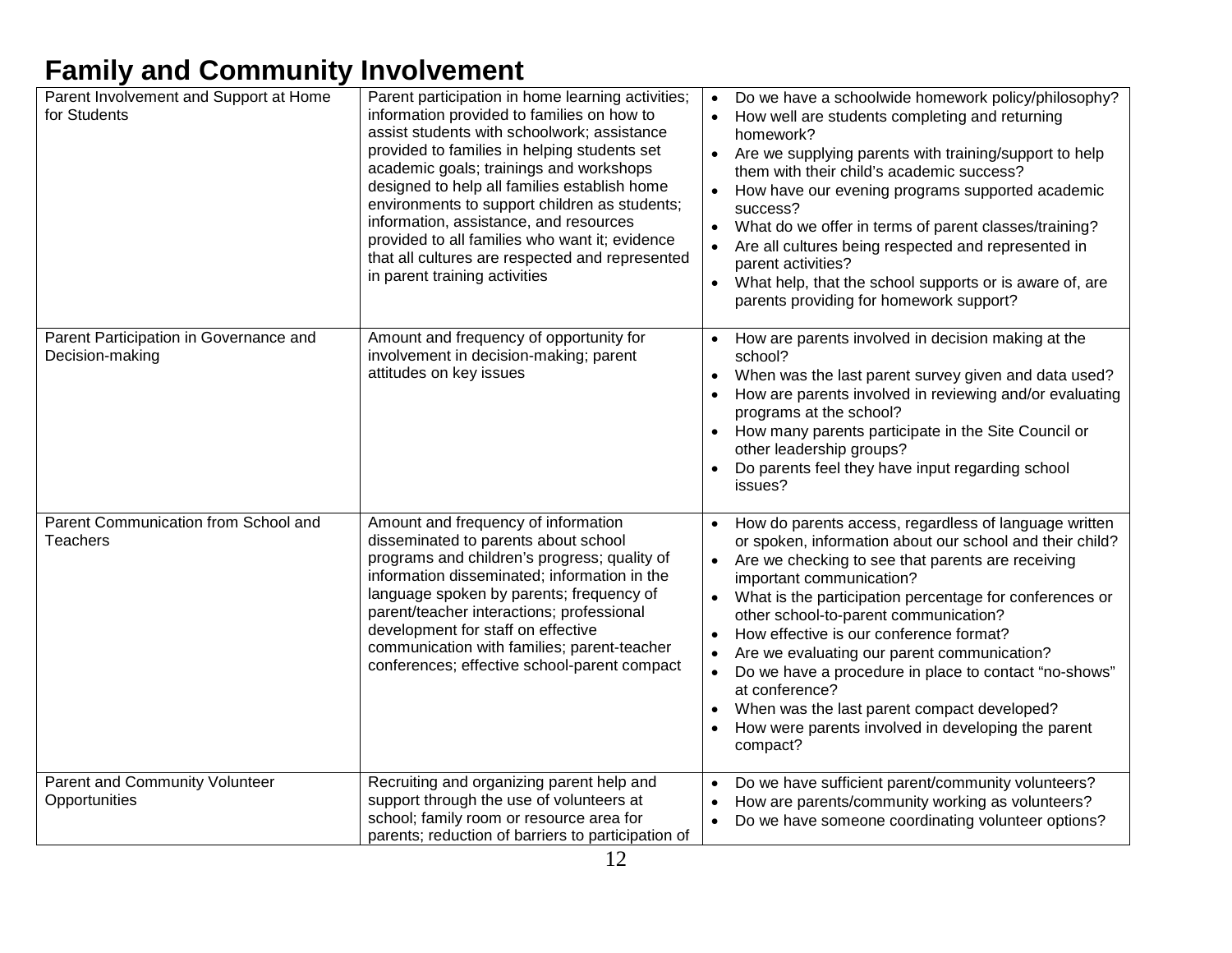## **Family and Community Involvement**

| Parent Involvement and Support at Home<br>for Students    | Parent participation in home learning activities;<br>information provided to families on how to<br>assist students with schoolwork; assistance<br>provided to families in helping students set<br>academic goals; trainings and workshops<br>designed to help all families establish home<br>environments to support children as students;<br>information, assistance, and resources<br>provided to all families who want it; evidence<br>that all cultures are respected and represented<br>in parent training activities | Do we have a schoolwide homework policy/philosophy?<br>$\bullet$<br>How well are students completing and returning<br>homework?<br>• Are we supplying parents with training/support to help<br>them with their child's academic success?<br>How have our evening programs supported academic<br>success?<br>What do we offer in terms of parent classes/training?<br>Are all cultures being respected and represented in<br>parent activities?<br>What help, that the school supports or is aware of, are<br>$\bullet$<br>parents providing for homework support?                                                        |
|-----------------------------------------------------------|----------------------------------------------------------------------------------------------------------------------------------------------------------------------------------------------------------------------------------------------------------------------------------------------------------------------------------------------------------------------------------------------------------------------------------------------------------------------------------------------------------------------------|--------------------------------------------------------------------------------------------------------------------------------------------------------------------------------------------------------------------------------------------------------------------------------------------------------------------------------------------------------------------------------------------------------------------------------------------------------------------------------------------------------------------------------------------------------------------------------------------------------------------------|
| Parent Participation in Governance and<br>Decision-making | Amount and frequency of opportunity for<br>involvement in decision-making; parent<br>attitudes on key issues                                                                                                                                                                                                                                                                                                                                                                                                               | How are parents involved in decision making at the<br>school?<br>When was the last parent survey given and data used?<br>How are parents involved in reviewing and/or evaluating<br>programs at the school?<br>How many parents participate in the Site Council or<br>other leadership groups?<br>Do parents feel they have input regarding school<br>issues?                                                                                                                                                                                                                                                            |
| Parent Communication from School and<br>Teachers          | Amount and frequency of information<br>disseminated to parents about school<br>programs and children's progress; quality of<br>information disseminated; information in the<br>language spoken by parents; frequency of<br>parent/teacher interactions; professional<br>development for staff on effective<br>communication with families; parent-teacher<br>conferences; effective school-parent compact                                                                                                                  | How do parents access, regardless of language written<br>or spoken, information about our school and their child?<br>Are we checking to see that parents are receiving<br>important communication?<br>• What is the participation percentage for conferences or<br>other school-to-parent communication?<br>How effective is our conference format?<br>Are we evaluating our parent communication?<br>Do we have a procedure in place to contact "no-shows"<br>$\bullet$<br>at conference?<br>When was the last parent compact developed?<br>$\bullet$<br>How were parents involved in developing the parent<br>compact? |
| Parent and Community Volunteer<br>Opportunities           | Recruiting and organizing parent help and<br>support through the use of volunteers at<br>school; family room or resource area for<br>parents; reduction of barriers to participation of                                                                                                                                                                                                                                                                                                                                    | Do we have sufficient parent/community volunteers?<br>How are parents/community working as volunteers?<br>Do we have someone coordinating volunteer options?                                                                                                                                                                                                                                                                                                                                                                                                                                                             |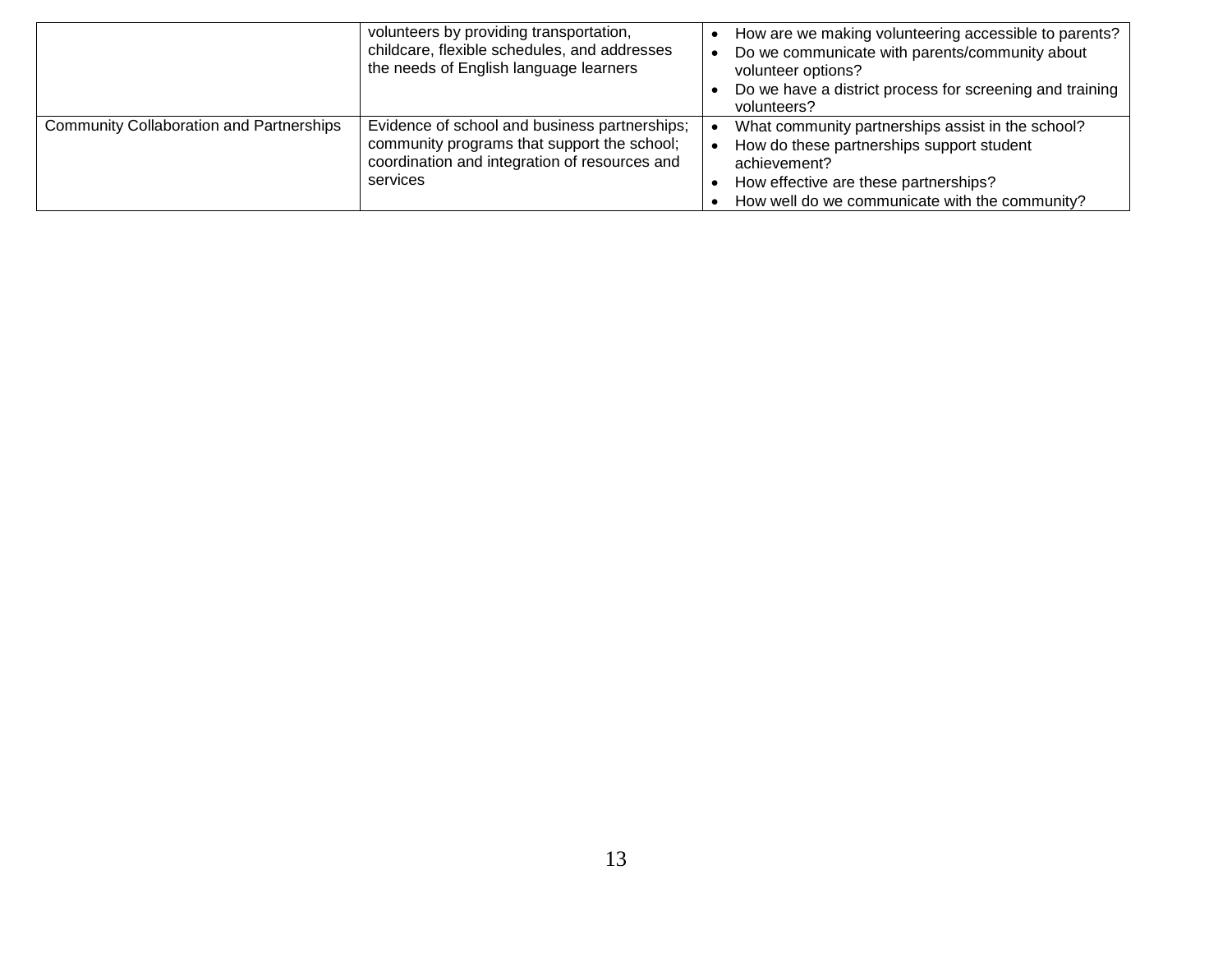|                                                 | volunteers by providing transportation,<br>childcare, flexible schedules, and addresses<br>the needs of English language learners                         | How are we making volunteering accessible to parents?<br>Do we communicate with parents/community about<br>volunteer options?<br>Do we have a district process for screening and training<br>volunteers?  |
|-------------------------------------------------|-----------------------------------------------------------------------------------------------------------------------------------------------------------|-----------------------------------------------------------------------------------------------------------------------------------------------------------------------------------------------------------|
| <b>Community Collaboration and Partnerships</b> | Evidence of school and business partnerships;<br>community programs that support the school;<br>coordination and integration of resources and<br>services | What community partnerships assist in the school?<br>How do these partnerships support student<br>achievement?<br>How effective are these partnerships?<br>How well do we communicate with the community? |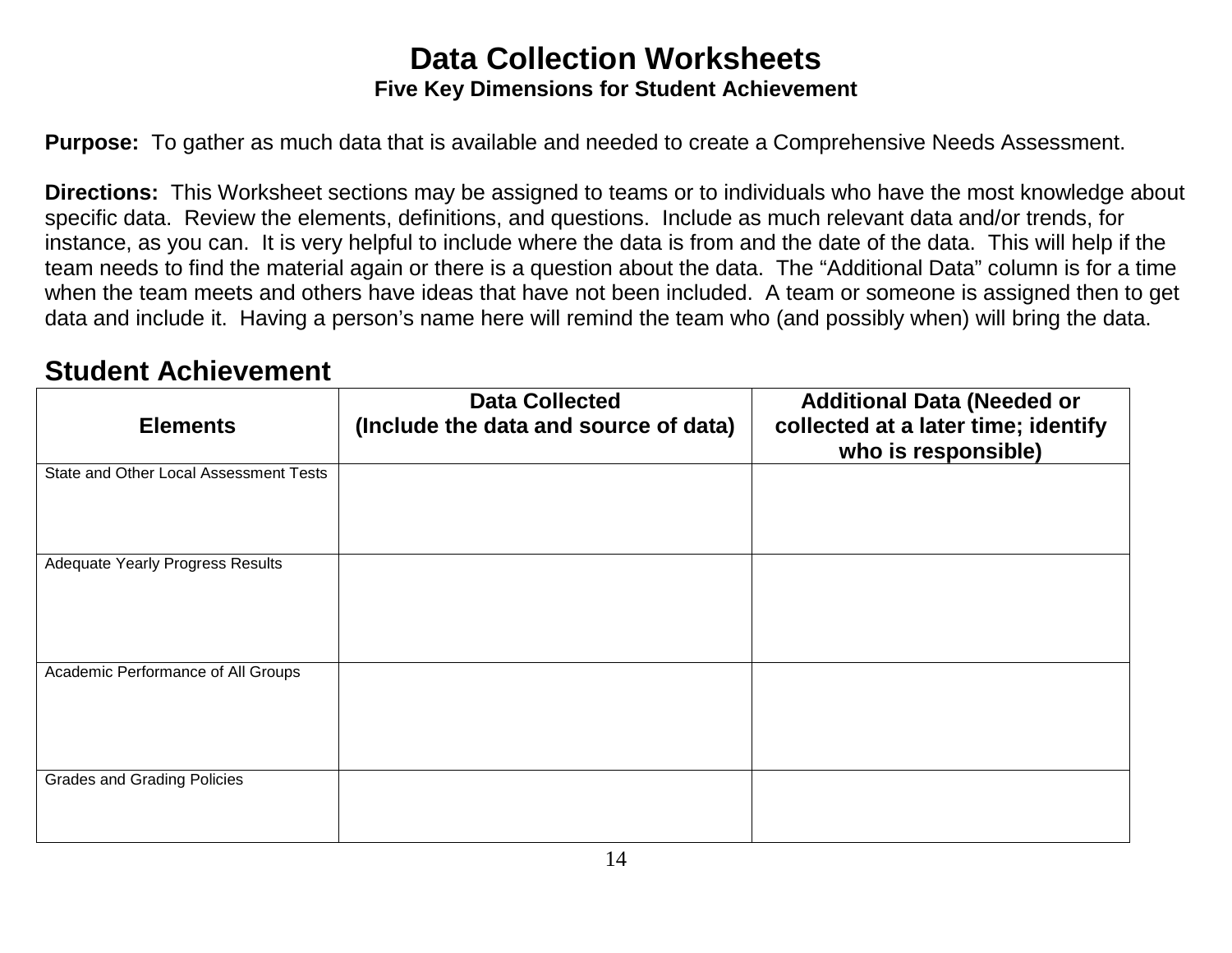### **Data Collection Worksheets Five Key Dimensions for Student Achievement**

**Purpose:** To gather as much data that is available and needed to create a Comprehensive Needs Assessment.

**Directions:** This Worksheet sections may be assigned to teams or to individuals who have the most knowledge about specific data. Review the elements, definitions, and questions. Include as much relevant data and/or trends, for instance, as you can. It is very helpful to include where the data is from and the date of the data. This will help if the team needs to find the material again or there is a question about the data. The "Additional Data" column is for a time when the team meets and others have ideas that have not been included. A team or someone is assigned then to get data and include it. Having a person's name here will remind the team who (and possibly when) will bring the data.

### **Student Achievement**

| <b>Elements</b>                        | <b>Data Collected</b><br>(Include the data and source of data) | <b>Additional Data (Needed or</b><br>collected at a later time; identify<br>who is responsible) |
|----------------------------------------|----------------------------------------------------------------|-------------------------------------------------------------------------------------------------|
| State and Other Local Assessment Tests |                                                                |                                                                                                 |
| Adequate Yearly Progress Results       |                                                                |                                                                                                 |
| Academic Performance of All Groups     |                                                                |                                                                                                 |
| <b>Grades and Grading Policies</b>     |                                                                |                                                                                                 |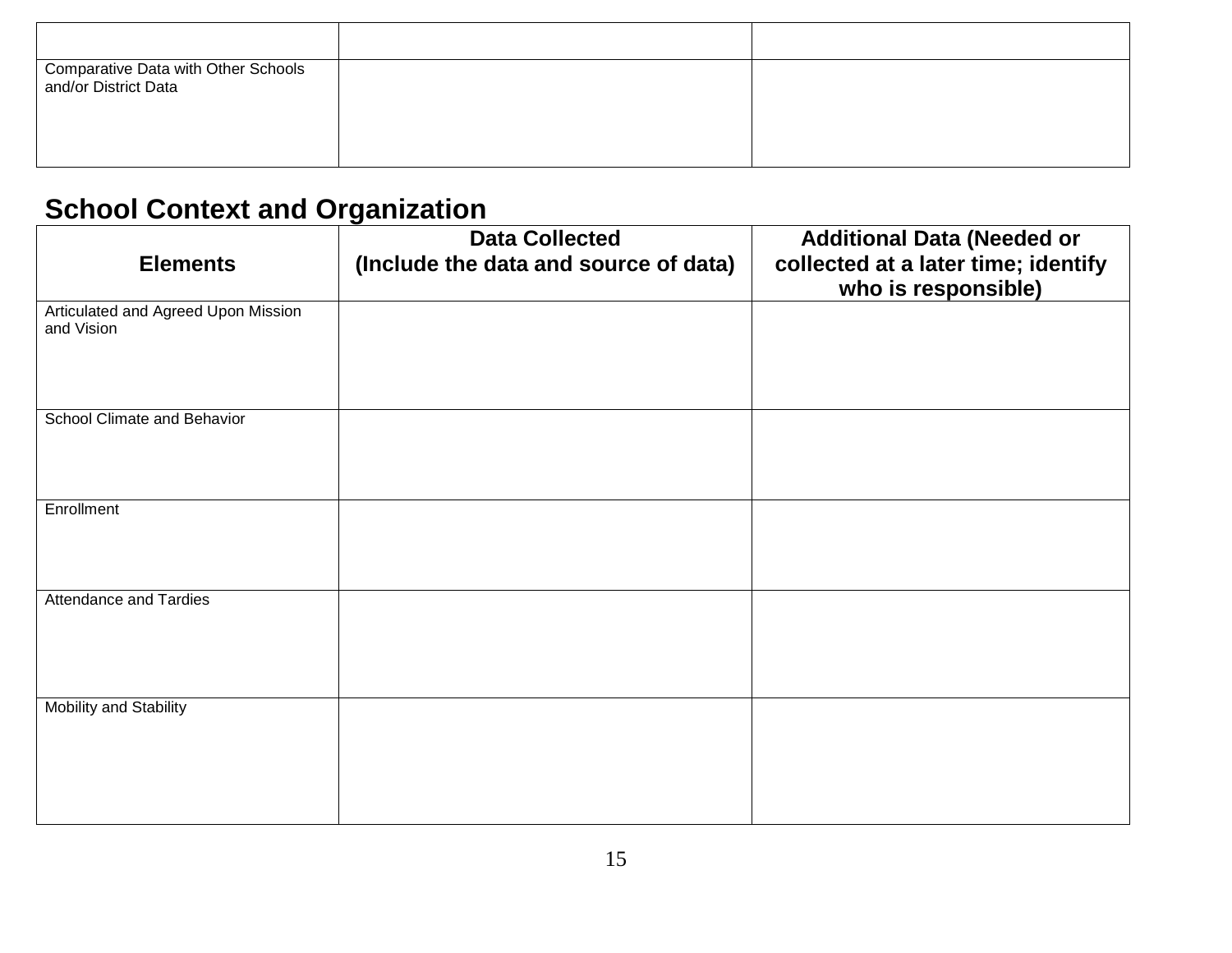| Comparative Data with Other Schools<br>and/or District Data |  |
|-------------------------------------------------------------|--|
|                                                             |  |
|                                                             |  |

## **School Context and Organization**

| <b>Elements</b>                                   | <b>Data Collected</b><br>(Include the data and source of data) | <b>Additional Data (Needed or</b><br>collected at a later time; identify<br>who is responsible) |
|---------------------------------------------------|----------------------------------------------------------------|-------------------------------------------------------------------------------------------------|
| Articulated and Agreed Upon Mission<br>and Vision |                                                                |                                                                                                 |
| School Climate and Behavior                       |                                                                |                                                                                                 |
| Enrollment                                        |                                                                |                                                                                                 |
| Attendance and Tardies                            |                                                                |                                                                                                 |
| Mobility and Stability                            |                                                                |                                                                                                 |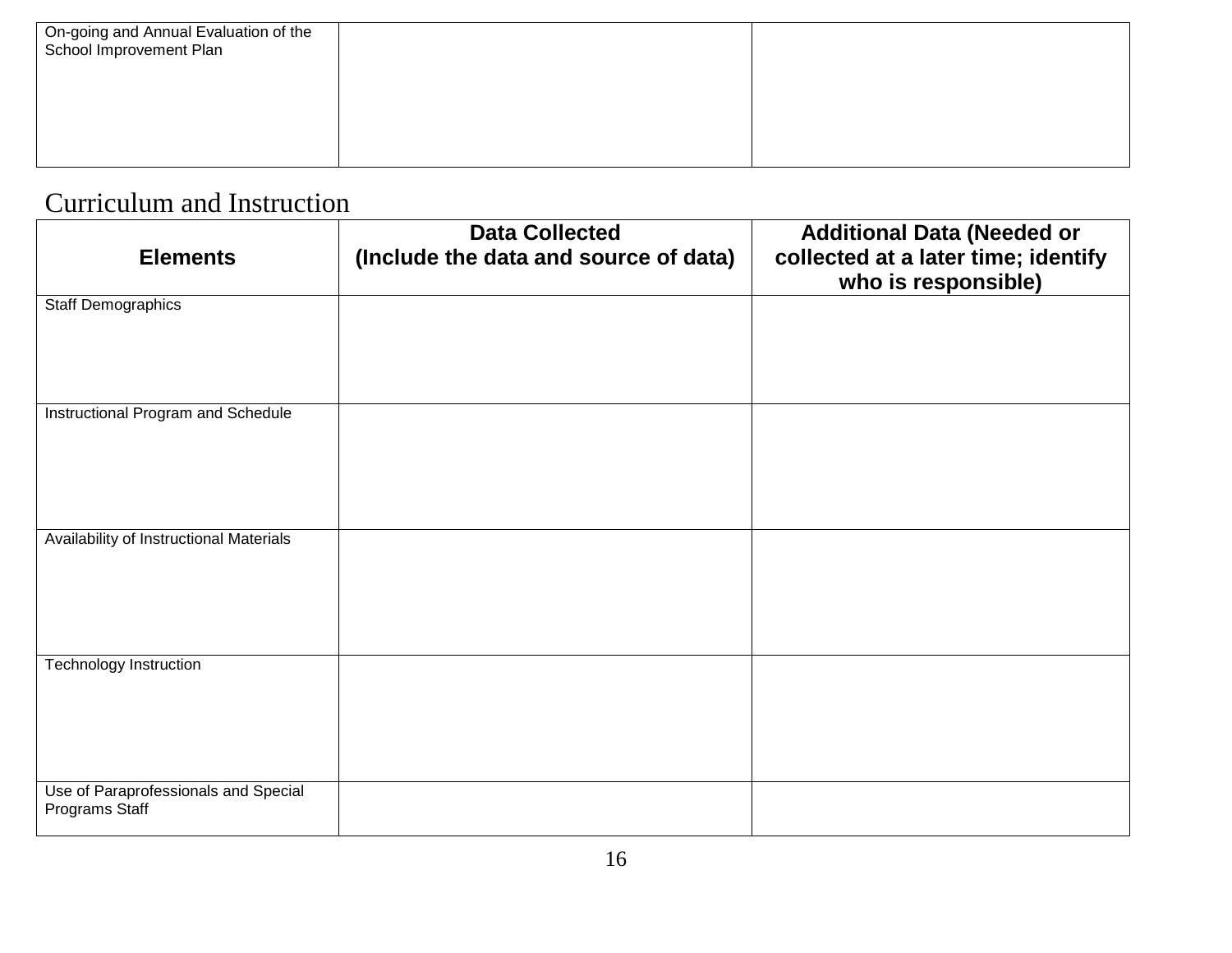### Curriculum and Instruction

| <b>Elements</b>                                        | <b>Data Collected</b><br>(Include the data and source of data) | <b>Additional Data (Needed or</b><br>collected at a later time; identify<br>who is responsible) |
|--------------------------------------------------------|----------------------------------------------------------------|-------------------------------------------------------------------------------------------------|
| <b>Staff Demographics</b>                              |                                                                |                                                                                                 |
| Instructional Program and Schedule                     |                                                                |                                                                                                 |
| Availability of Instructional Materials                |                                                                |                                                                                                 |
| Technology Instruction                                 |                                                                |                                                                                                 |
| Use of Paraprofessionals and Special<br>Programs Staff |                                                                |                                                                                                 |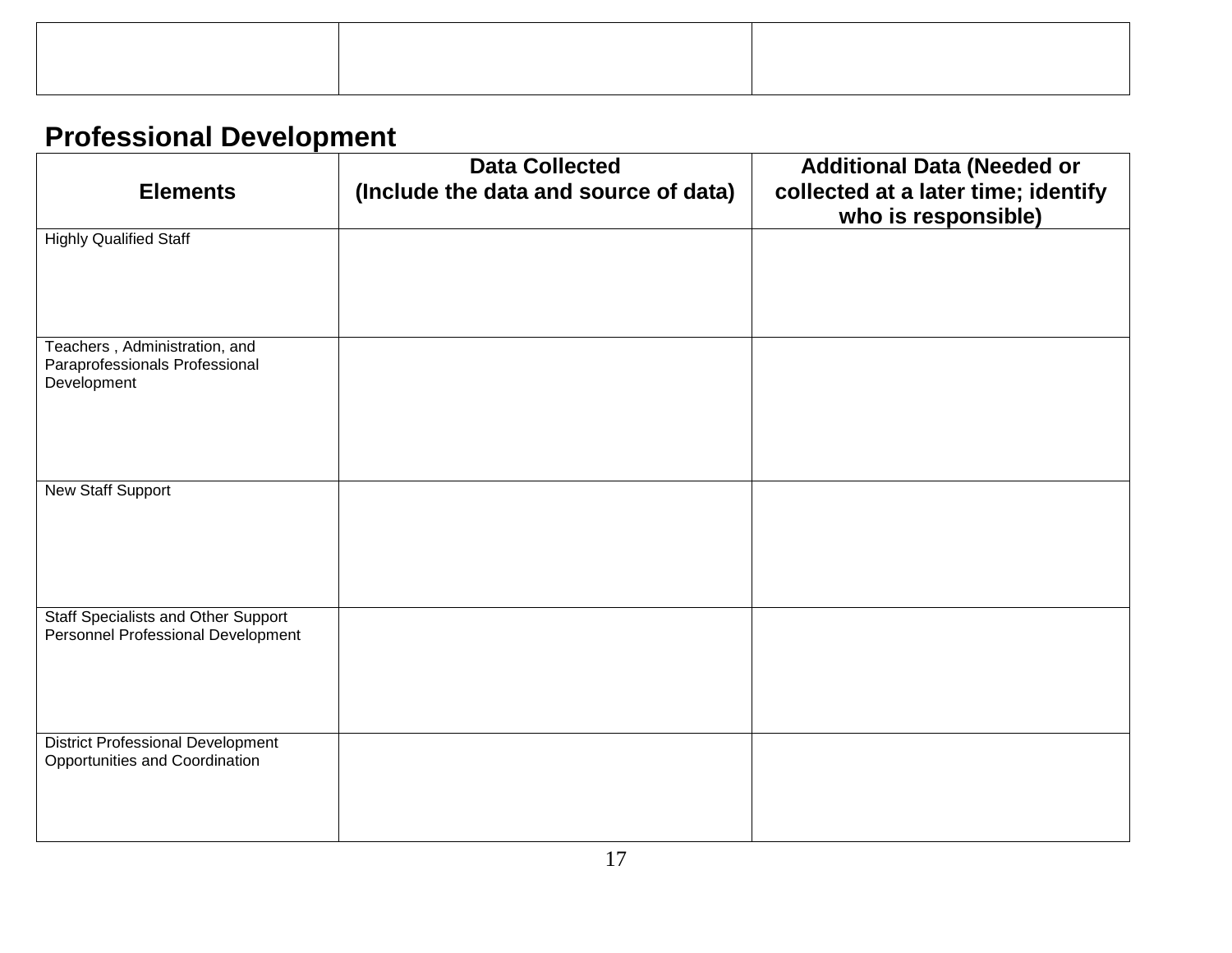## **Professional Development**

| <b>Elements</b>                                                                  | <b>Data Collected</b><br>(Include the data and source of data) | <b>Additional Data (Needed or</b><br>collected at a later time; identify<br>who is responsible) |
|----------------------------------------------------------------------------------|----------------------------------------------------------------|-------------------------------------------------------------------------------------------------|
| <b>Highly Qualified Staff</b>                                                    |                                                                |                                                                                                 |
| Teachers, Administration, and<br>Paraprofessionals Professional<br>Development   |                                                                |                                                                                                 |
| <b>New Staff Support</b>                                                         |                                                                |                                                                                                 |
| <b>Staff Specialists and Other Support</b><br>Personnel Professional Development |                                                                |                                                                                                 |
| <b>District Professional Development</b><br>Opportunities and Coordination       |                                                                |                                                                                                 |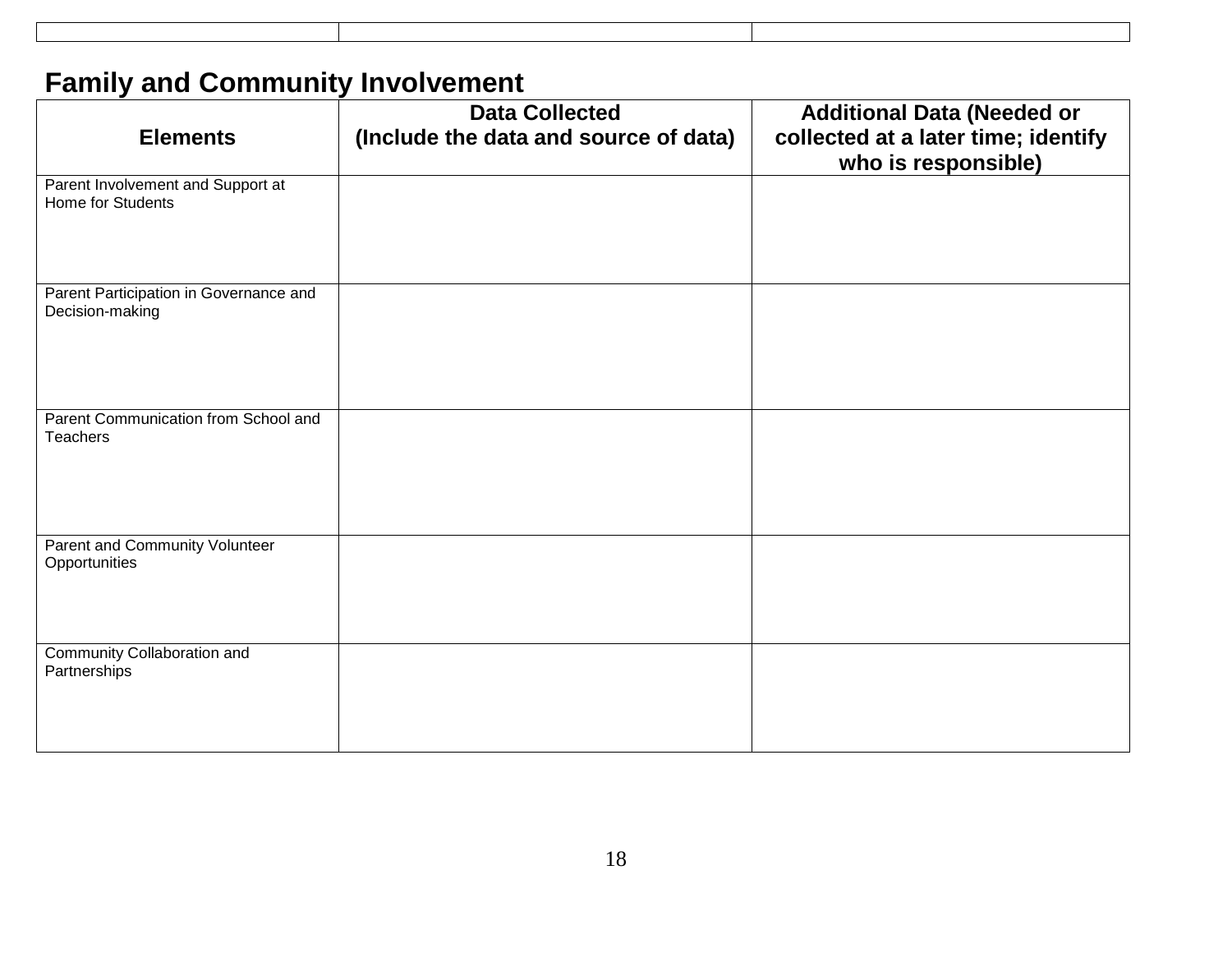# **Family and Community Involvement**

| <b>Elements</b>                                               | <b>Data Collected</b><br>(Include the data and source of data) | <b>Additional Data (Needed or</b><br>collected at a later time; identify<br>who is responsible) |
|---------------------------------------------------------------|----------------------------------------------------------------|-------------------------------------------------------------------------------------------------|
| Parent Involvement and Support at<br><b>Home for Students</b> |                                                                |                                                                                                 |
| Parent Participation in Governance and<br>Decision-making     |                                                                |                                                                                                 |
| Parent Communication from School and<br>Teachers              |                                                                |                                                                                                 |
| Parent and Community Volunteer<br>Opportunities               |                                                                |                                                                                                 |
| Community Collaboration and<br>Partnerships                   |                                                                |                                                                                                 |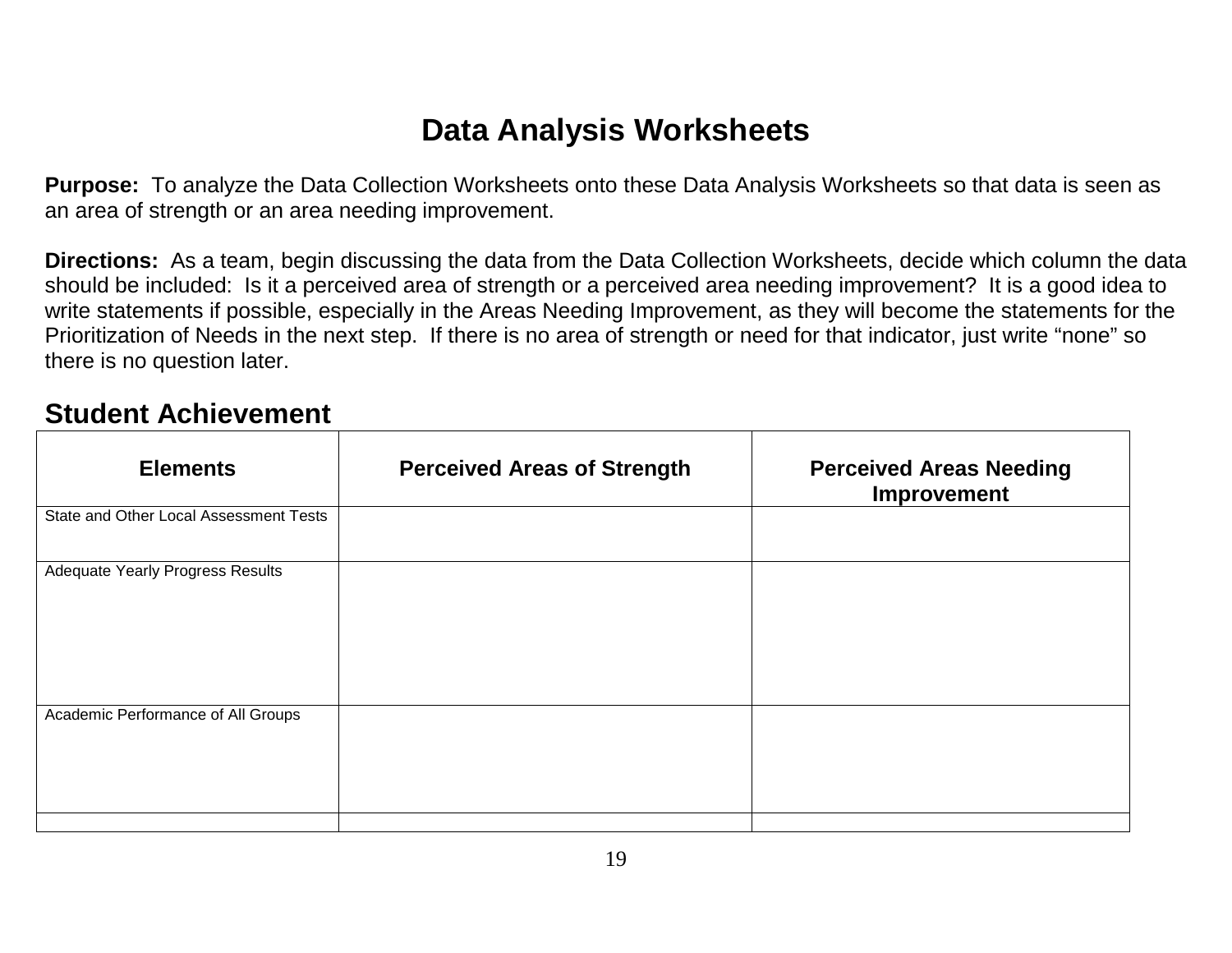## **Data Analysis Worksheets**

**Purpose:** To analyze the Data Collection Worksheets onto these Data Analysis Worksheets so that data is seen as an area of strength or an area needing improvement.

**Directions:** As a team, begin discussing the data from the Data Collection Worksheets, decide which column the data should be included: Is it a perceived area of strength or a perceived area needing improvement? It is a good idea to write statements if possible, especially in the Areas Needing Improvement, as they will become the statements for the Prioritization of Needs in the next step. If there is no area of strength or need for that indicator, just write "none" so there is no question later.

### **Student Achievement**

| <b>Elements</b>                        | <b>Perceived Areas of Strength</b> | <b>Perceived Areas Needing</b><br>Improvement |
|----------------------------------------|------------------------------------|-----------------------------------------------|
| State and Other Local Assessment Tests |                                    |                                               |
| Adequate Yearly Progress Results       |                                    |                                               |
| Academic Performance of All Groups     |                                    |                                               |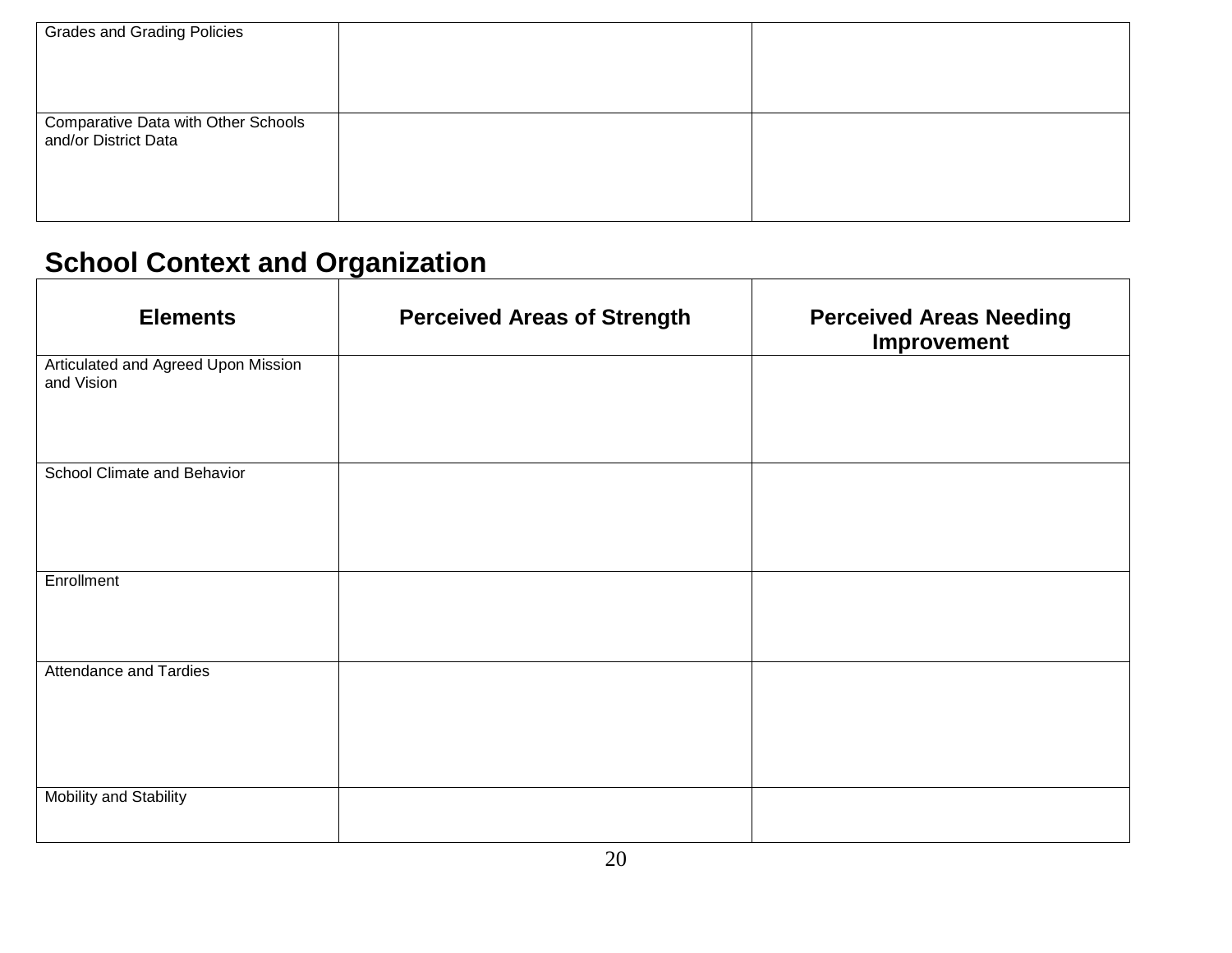| <b>Grades and Grading Policies</b>                          |  |
|-------------------------------------------------------------|--|
| Comparative Data with Other Schools<br>and/or District Data |  |

# **School Context and Organization**

| <b>Elements</b>                                   | <b>Perceived Areas of Strength</b> | <b>Perceived Areas Needing</b><br>Improvement |
|---------------------------------------------------|------------------------------------|-----------------------------------------------|
| Articulated and Agreed Upon Mission<br>and Vision |                                    |                                               |
| School Climate and Behavior                       |                                    |                                               |
| Enrollment                                        |                                    |                                               |
| <b>Attendance and Tardies</b>                     |                                    |                                               |
| Mobility and Stability                            |                                    |                                               |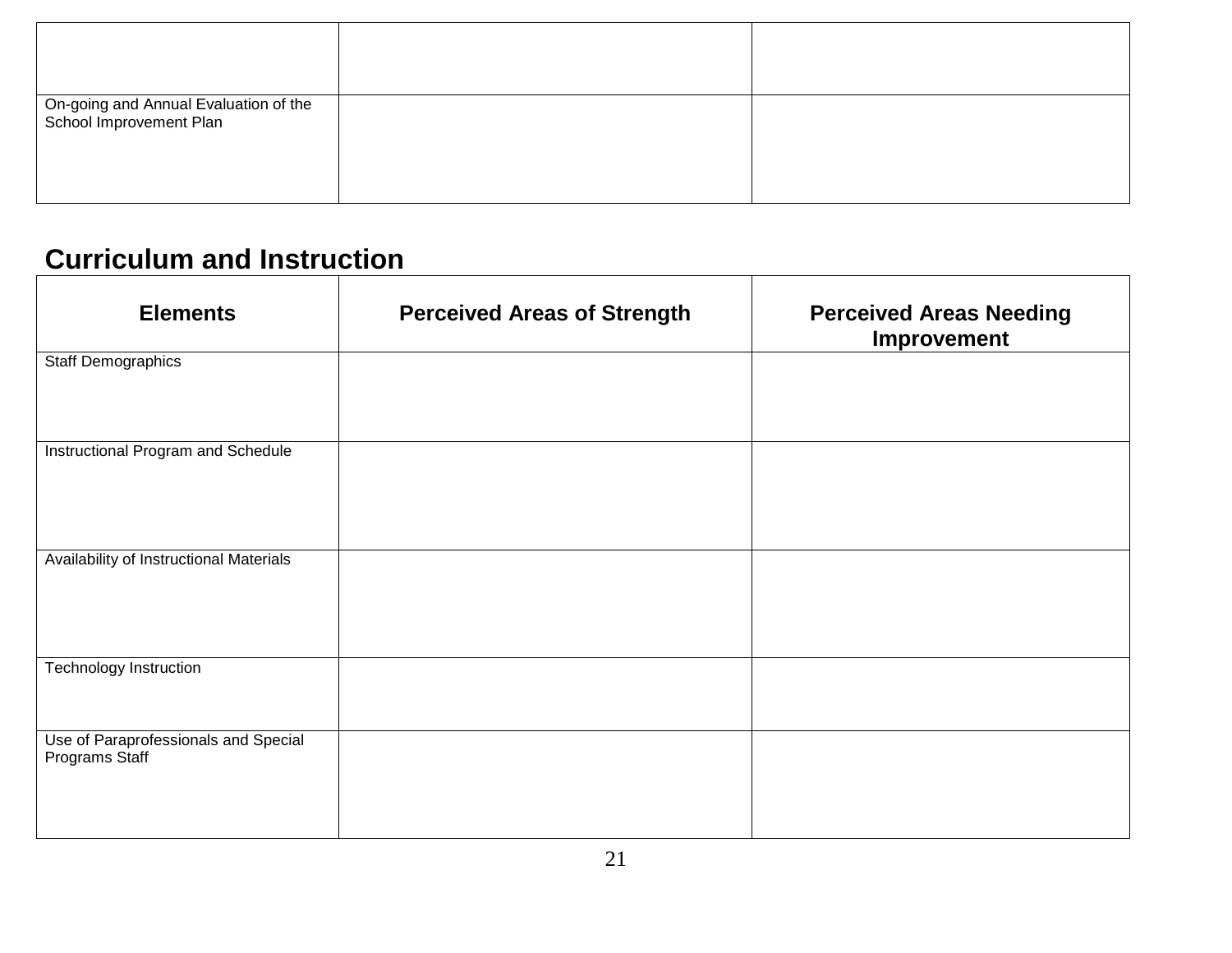| On-going and Annual Evaluation of the<br>School Improvement Plan |  |
|------------------------------------------------------------------|--|

## **Curriculum and Instruction**

| <b>Elements</b>                                        | <b>Perceived Areas of Strength</b> | <b>Perceived Areas Needing</b><br>Improvement |
|--------------------------------------------------------|------------------------------------|-----------------------------------------------|
| <b>Staff Demographics</b>                              |                                    |                                               |
| Instructional Program and Schedule                     |                                    |                                               |
| Availability of Instructional Materials                |                                    |                                               |
| <b>Technology Instruction</b>                          |                                    |                                               |
| Use of Paraprofessionals and Special<br>Programs Staff |                                    |                                               |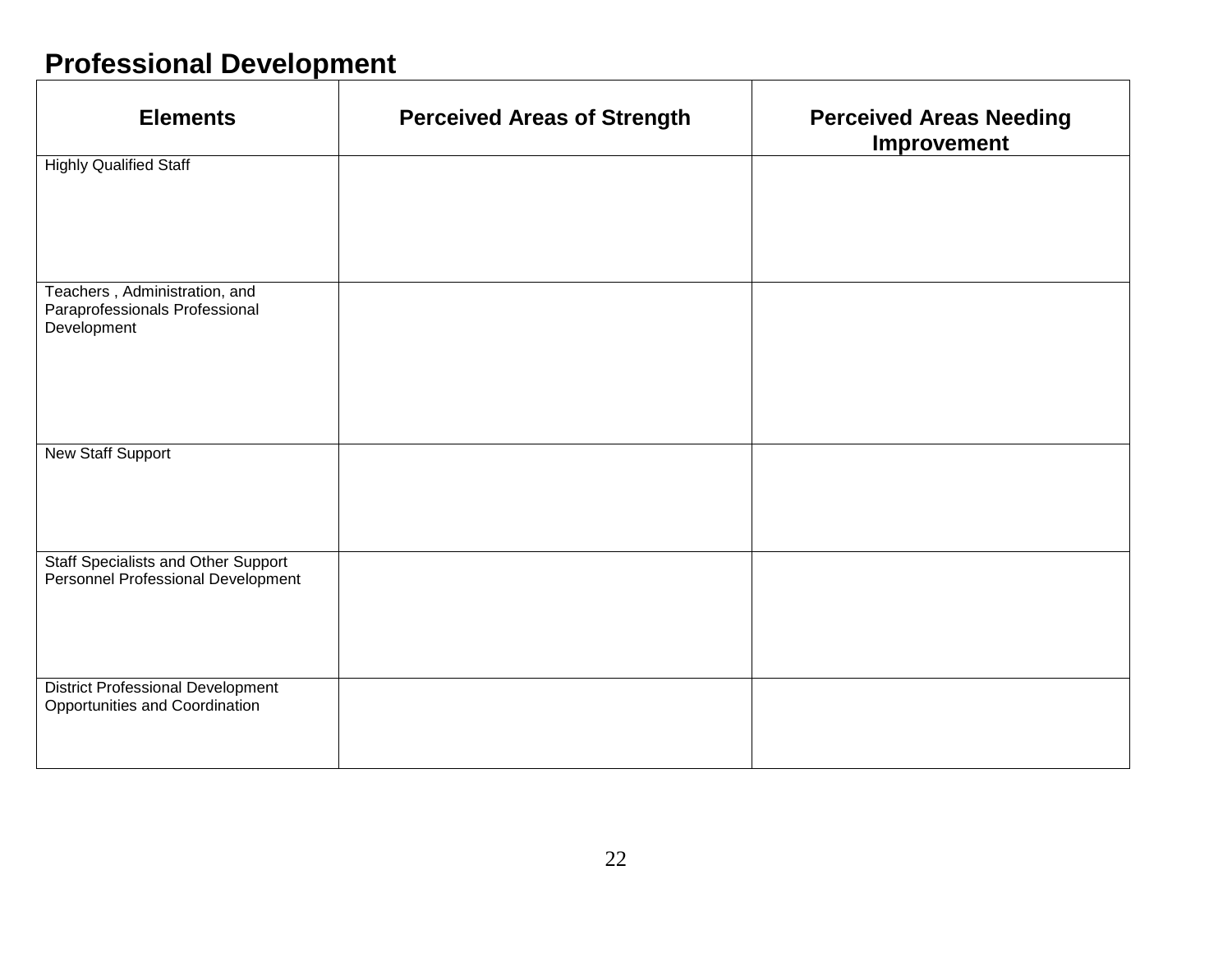## **Professional Development**

| <b>Elements</b>                                                                  | <b>Perceived Areas of Strength</b> | <b>Perceived Areas Needing</b><br>Improvement |
|----------------------------------------------------------------------------------|------------------------------------|-----------------------------------------------|
| <b>Highly Qualified Staff</b>                                                    |                                    |                                               |
|                                                                                  |                                    |                                               |
| Teachers, Administration, and<br>Paraprofessionals Professional<br>Development   |                                    |                                               |
| New Staff Support                                                                |                                    |                                               |
| <b>Staff Specialists and Other Support</b><br>Personnel Professional Development |                                    |                                               |
| <b>District Professional Development</b><br>Opportunities and Coordination       |                                    |                                               |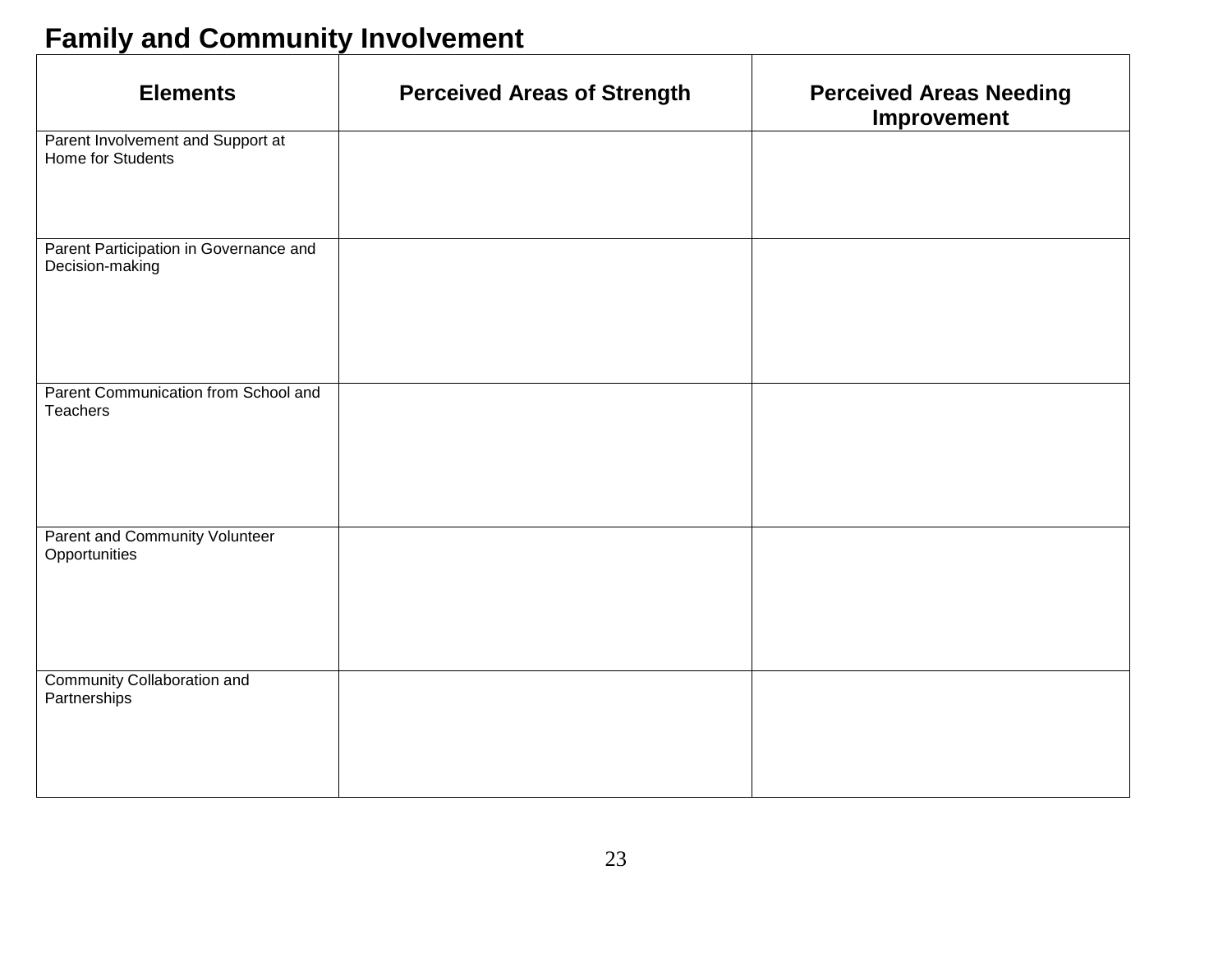# **Family and Community Involvement**

| <b>Elements</b>                                           | <b>Perceived Areas of Strength</b> | <b>Perceived Areas Needing</b><br>Improvement |
|-----------------------------------------------------------|------------------------------------|-----------------------------------------------|
| Parent Involvement and Support at<br>Home for Students    |                                    |                                               |
| Parent Participation in Governance and<br>Decision-making |                                    |                                               |
| Parent Communication from School and<br>Teachers          |                                    |                                               |
| Parent and Community Volunteer<br>Opportunities           |                                    |                                               |
| <b>Community Collaboration and</b><br>Partnerships        |                                    |                                               |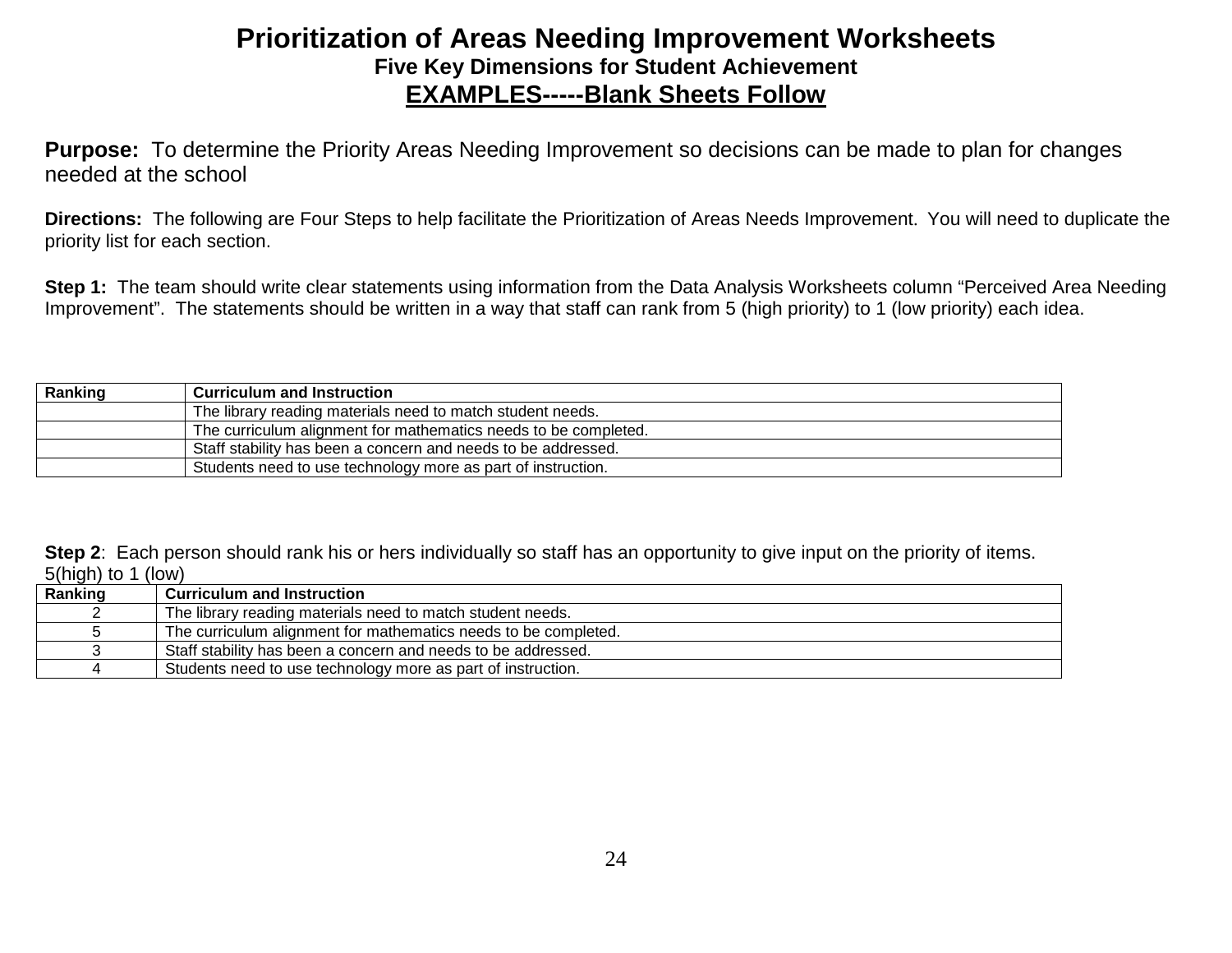### **Prioritization of Areas Needing Improvement Worksheets Five Key Dimensions for Student Achievement EXAMPLES-----Blank Sheets Follow**

**Purpose:** To determine the Priority Areas Needing Improvement so decisions can be made to plan for changes needed at the school

**Directions:** The following are Four Steps to help facilitate the Prioritization of Areas Needs Improvement. You will need to duplicate the priority list for each section.

**Step 1:** The team should write clear statements using information from the Data Analysis Worksheets column "Perceived Area Needing Improvement". The statements should be written in a way that staff can rank from 5 (high priority) to 1 (low priority) each idea.

| Ranking | <b>Curriculum and Instruction</b>                               |
|---------|-----------------------------------------------------------------|
|         | The library reading materials need to match student needs.      |
|         | The curriculum alignment for mathematics needs to be completed. |
|         | Staff stability has been a concern and needs to be addressed.   |
|         | Students need to use technology more as part of instruction.    |

**Step 2:** Each person should rank his or hers individually so staff has an opportunity to give input on the priority of items. 5(high) to 1 (low)

| Ranking | <b>Curriculum and Instruction</b>                               |
|---------|-----------------------------------------------------------------|
|         | The library reading materials need to match student needs.      |
|         | The curriculum alignment for mathematics needs to be completed. |
|         | Staff stability has been a concern and needs to be addressed.   |
|         | Students need to use technology more as part of instruction.    |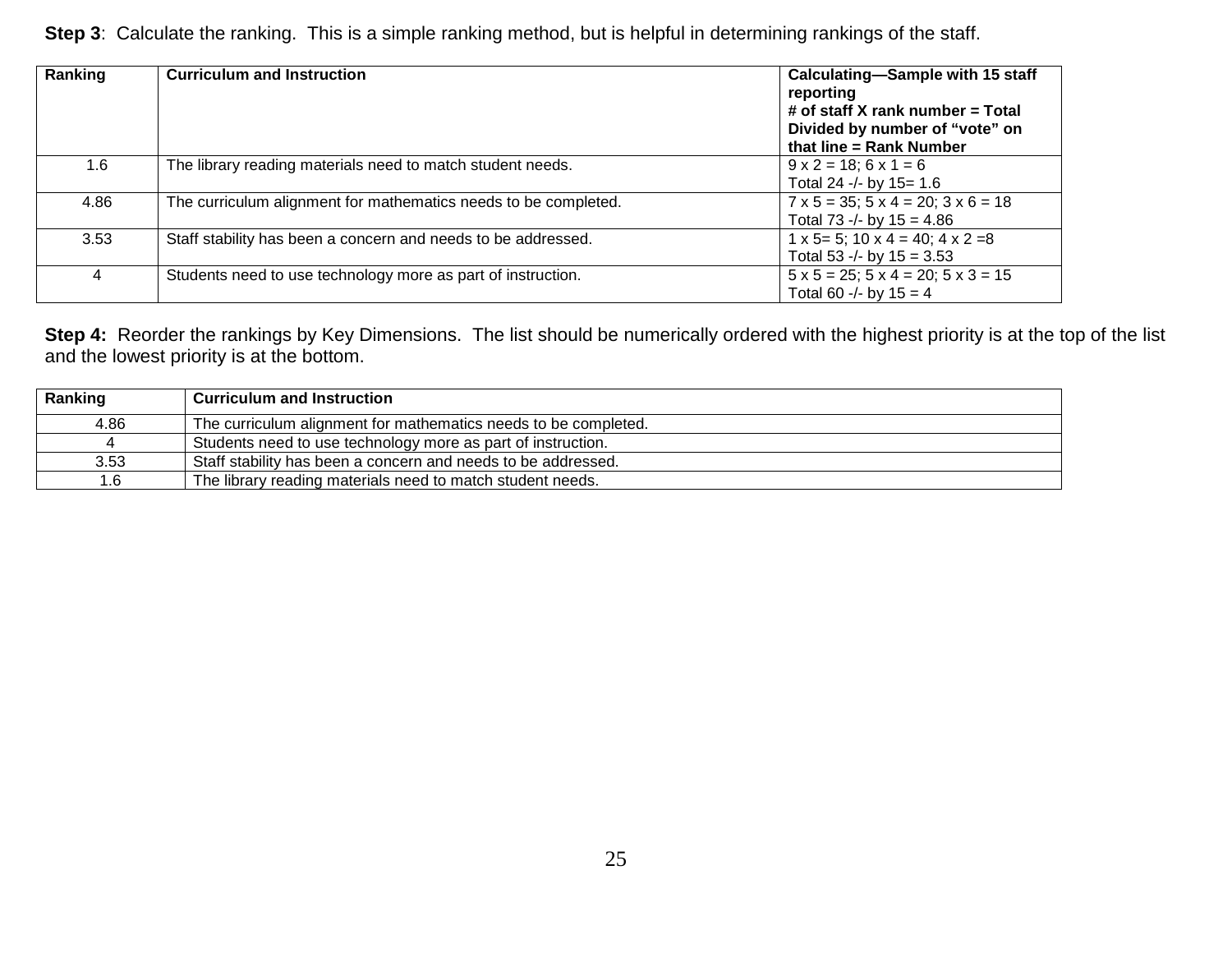**Step 3**: Calculate the ranking. This is a simple ranking method, but is helpful in determining rankings of the staff.

| Ranking | <b>Curriculum and Instruction</b>                               | Calculating-Sample with 15 staff<br>reporting<br># of staff X rank number = Total<br>Divided by number of "vote" on<br>that line $=$ Rank Number |
|---------|-----------------------------------------------------------------|--------------------------------------------------------------------------------------------------------------------------------------------------|
| $1.6\,$ | The library reading materials need to match student needs.      | $9 \times 2 = 18$ ; $6 \times 1 = 6$<br>Total 24 -/- by $15 = 1.6$                                                                               |
| 4.86    | The curriculum alignment for mathematics needs to be completed. | $7 \times 5 = 35$ ; $5 \times 4 = 20$ ; $3 \times 6 = 18$<br>Total 73 -/- by $15 = 4.86$                                                         |
| 3.53    | Staff stability has been a concern and needs to be addressed.   | $1 \times 5 = 5$ ; $10 \times 4 = 40$ ; $4 \times 2 = 8$<br>Total 53 -/- by $15 = 3.53$                                                          |
| 4       | Students need to use technology more as part of instruction.    | $5 \times 5 = 25$ ; $5 \times 4 = 20$ ; $5 \times 3 = 15$<br>Total 60 -/- by $15 = 4$                                                            |

**Step 4:** Reorder the rankings by Key Dimensions. The list should be numerically ordered with the highest priority is at the top of the list and the lowest priority is at the bottom.

| Ranking | <b>Curriculum and Instruction</b>                               |
|---------|-----------------------------------------------------------------|
| 4.86    | The curriculum alignment for mathematics needs to be completed. |
|         | Students need to use technology more as part of instruction.    |
| 3.53    | Staff stability has been a concern and needs to be addressed.   |
|         | The library reading materials need to match student needs.      |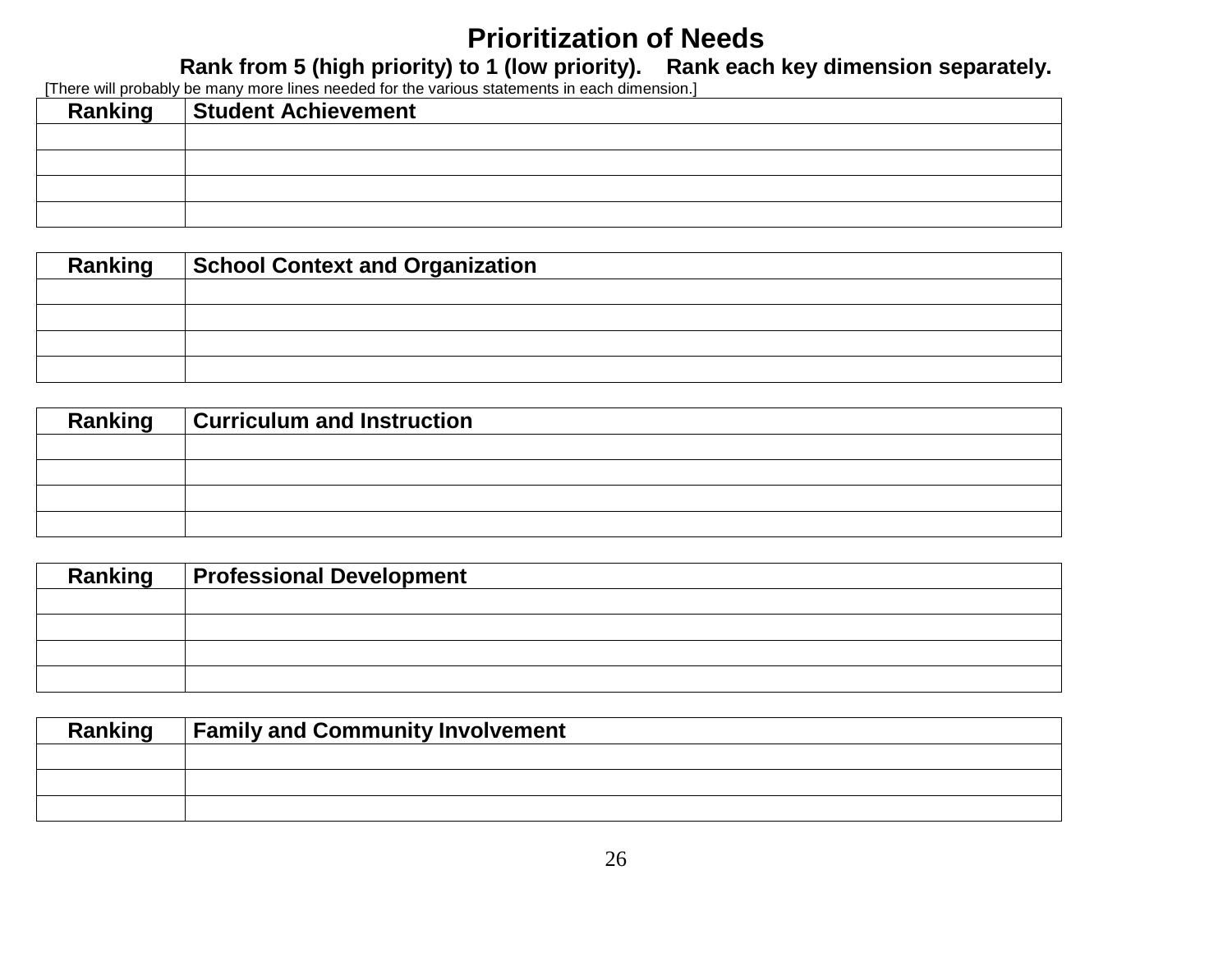## **Prioritization of Needs**

**Rank from 5 (high priority) to 1 (low priority). Rank each key dimension separately.**

[There will probably be many more lines needed for the various statements in each dimension.]

| <b>Ranking</b> | <b>Student Achievement</b> |
|----------------|----------------------------|
|                |                            |
|                |                            |
|                |                            |
|                |                            |

| Ranking | <b>School Context and Organization</b> |
|---------|----------------------------------------|
|         |                                        |
|         |                                        |
|         |                                        |
|         |                                        |

| Ranking | <b>Curriculum and Instruction</b> |
|---------|-----------------------------------|
|         |                                   |
|         |                                   |
|         |                                   |
|         |                                   |

| Ranking   Professional Development |
|------------------------------------|
|                                    |
|                                    |
|                                    |
|                                    |

| Ranking | <b>Family and Community Involvement</b> |  |  |  |
|---------|-----------------------------------------|--|--|--|
|         |                                         |  |  |  |
|         |                                         |  |  |  |
|         |                                         |  |  |  |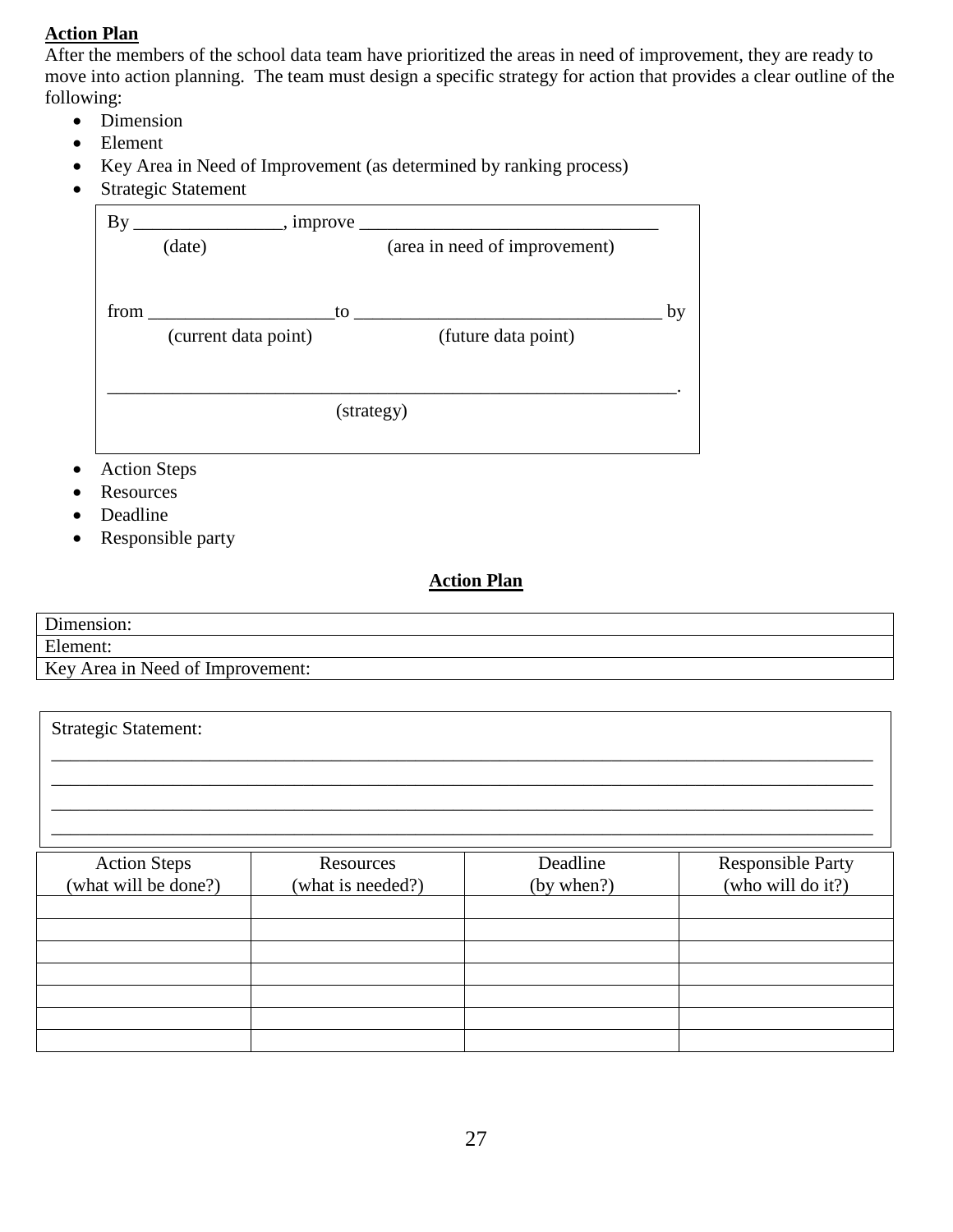#### **Action Plan**

After the members of the school data team have prioritized the areas in need of improvement, they are ready to move into action planning. The team must design a specific strategy for action that provides a clear outline of the following:

- Dimension
- Element
- Key Area in Need of Improvement (as determined by ranking process)
- Strategic Statement

| $\mathbf{B}\mathbf{v}$ | $\frac{1}{\sqrt{1-\frac{1}{2}}\sqrt{1-\frac{1}{2}}\sqrt{1-\frac{1}{2}}\sqrt{1-\frac{1}{2}}}}$ , improve |    |                               |    |
|------------------------|---------------------------------------------------------------------------------------------------------|----|-------------------------------|----|
|                        | (date)                                                                                                  |    | (area in need of improvement) |    |
|                        |                                                                                                         |    |                               |    |
| from                   |                                                                                                         | to |                               | by |
|                        | (current data point)                                                                                    |    | (future data point)           |    |
|                        |                                                                                                         |    |                               |    |
|                        |                                                                                                         |    | (strategy)                    |    |
|                        |                                                                                                         |    |                               |    |

- Action Steps
- Resources
- Deadline

Strategic Statement:

• Responsible party

#### **Action Plan**

| Dimension:                       |  |
|----------------------------------|--|
| Element:                         |  |
| Key Area in Need of Improvement: |  |

| <b>Action Steps</b><br>(what will be done?) | Resources<br>(what is needed?) | Deadline<br>(by when?) | <b>Responsible Party</b><br>(who will do it?) |
|---------------------------------------------|--------------------------------|------------------------|-----------------------------------------------|
|                                             |                                |                        |                                               |
|                                             |                                |                        |                                               |
|                                             |                                |                        |                                               |
|                                             |                                |                        |                                               |
|                                             |                                |                        |                                               |
|                                             |                                |                        |                                               |
|                                             |                                |                        |                                               |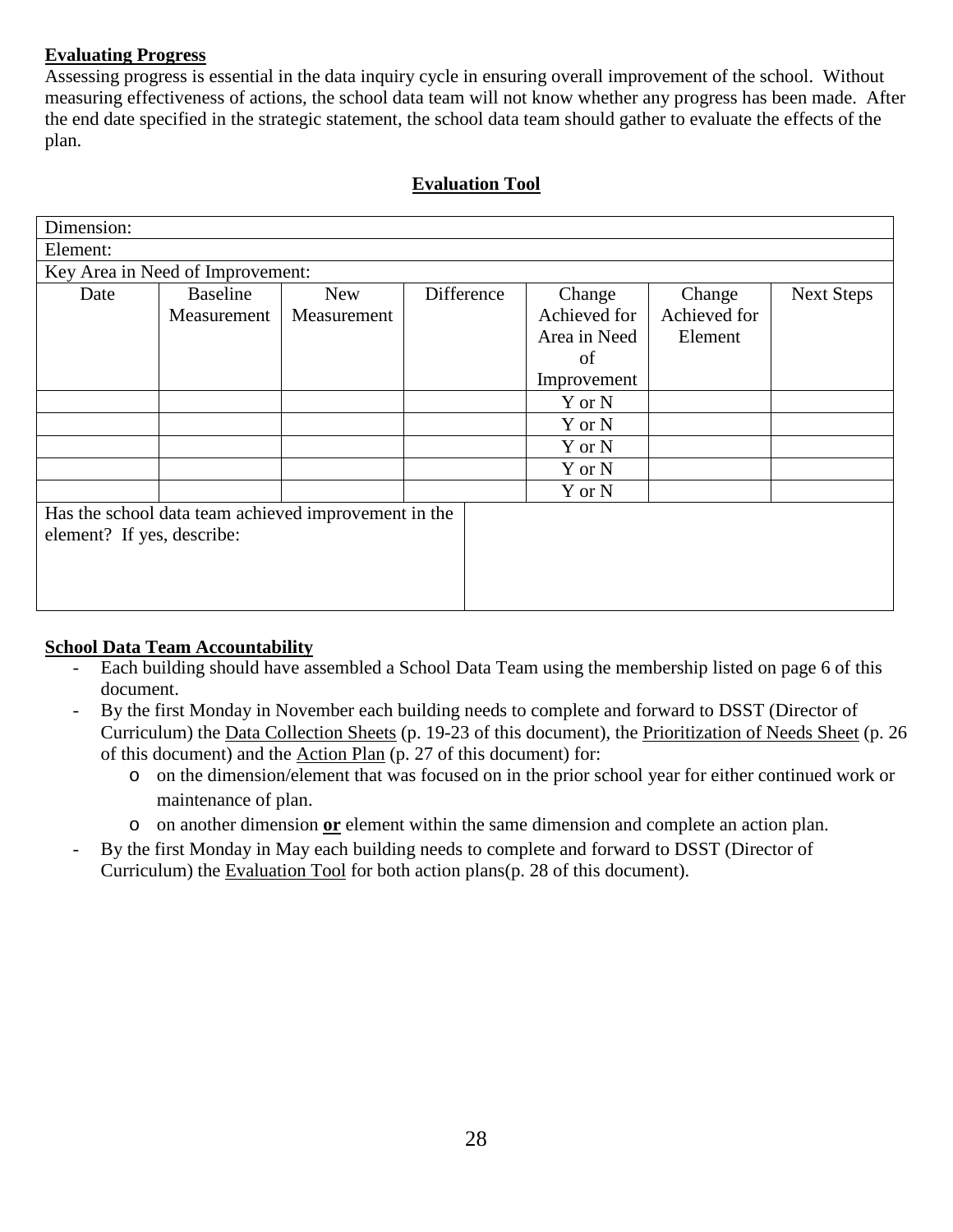### **Evaluating Progress**

Assessing progress is essential in the data inquiry cycle in ensuring overall improvement of the school. Without measuring effectiveness of actions, the school data team will not know whether any progress has been made. After the end date specified in the strategic statement, the school data team should gather to evaluate the effects of the plan.

#### **Evaluation Tool**

| Dimension:                                                                         |                 |             |            |              |              |                   |  |
|------------------------------------------------------------------------------------|-----------------|-------------|------------|--------------|--------------|-------------------|--|
| Element:                                                                           |                 |             |            |              |              |                   |  |
| Key Area in Need of Improvement:                                                   |                 |             |            |              |              |                   |  |
| Date                                                                               | <b>Baseline</b> | <b>New</b>  | Difference | Change       | Change       | <b>Next Steps</b> |  |
|                                                                                    | Measurement     | Measurement |            | Achieved for | Achieved for |                   |  |
|                                                                                    |                 |             |            | Area in Need | Element      |                   |  |
|                                                                                    |                 |             |            | of           |              |                   |  |
|                                                                                    |                 |             |            | Improvement  |              |                   |  |
|                                                                                    |                 |             |            | Y or N       |              |                   |  |
|                                                                                    |                 |             |            | Y or N       |              |                   |  |
|                                                                                    |                 |             |            | Y or N       |              |                   |  |
|                                                                                    |                 |             |            | Y or N       |              |                   |  |
|                                                                                    |                 |             |            | Y or N       |              |                   |  |
| Has the school data team achieved improvement in the<br>element? If yes, describe: |                 |             |            |              |              |                   |  |
|                                                                                    |                 |             |            |              |              |                   |  |

#### **School Data Team Accountability**

- Each building should have assembled a School Data Team using the membership listed on page 6 of this document.
- By the first Monday in November each building needs to complete and forward to DSST (Director of Curriculum) the Data Collection Sheets (p. 19-23 of this document), the Prioritization of Needs Sheet (p. 26 of this document) and the Action Plan (p. 27 of this document) for:
	- o on the dimension/element that was focused on in the prior school year for either continued work or maintenance of plan.
	- o on another dimension **or** element within the same dimension and complete an action plan.
- By the first Monday in May each building needs to complete and forward to DSST (Director of Curriculum) the Evaluation Tool for both action plans(p. 28 of this document).